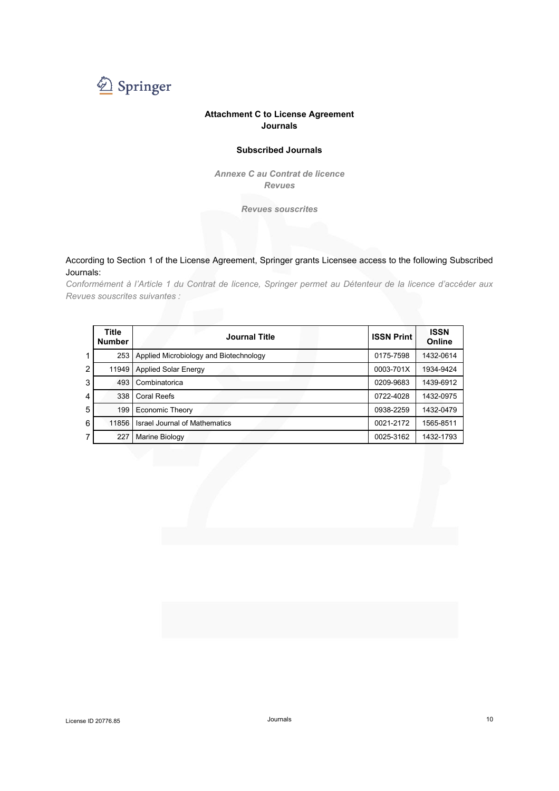

#### **Attachment C to License Agreement Journals**

#### **Subscribed Journals**

*Annexe C au Contrat de licence Revues* 

*Revues souscrites* 

#### According to Section 1 of the License Agreement, Springer grants Licensee access to the following Subscribed Journals:

*Conformément à l'Article 1 du Contrat de licence, Springer permet au Détenteur de la licence d'accéder aux Revues souscrites suivantes :* 

|                | Title<br><b>Number</b> | <b>Journal Title</b>                   | <b>ISSN Print</b> | <b>ISSN</b><br>Online |
|----------------|------------------------|----------------------------------------|-------------------|-----------------------|
| 1              | 253                    | Applied Microbiology and Biotechnology | 0175-7598         | 1432-0614             |
| $\overline{2}$ | 11949                  | <b>Applied Solar Energy</b>            | 0003-701X         | 1934-9424             |
| 3              | 493                    | Combinatorica                          | 0209-9683         | 1439-6912             |
| $\overline{4}$ | 338                    | <b>Coral Reefs</b>                     | 0722-4028         | 1432-0975             |
| 5              | 199                    | <b>Economic Theory</b>                 | 0938-2259         | 1432-0479             |
| 6              | 11856                  | <b>Israel Journal of Mathematics</b>   | 0021-2172         | 1565-8511             |
| 7              | 227                    | <b>Marine Biology</b>                  | 0025-3162         | 1432-1793             |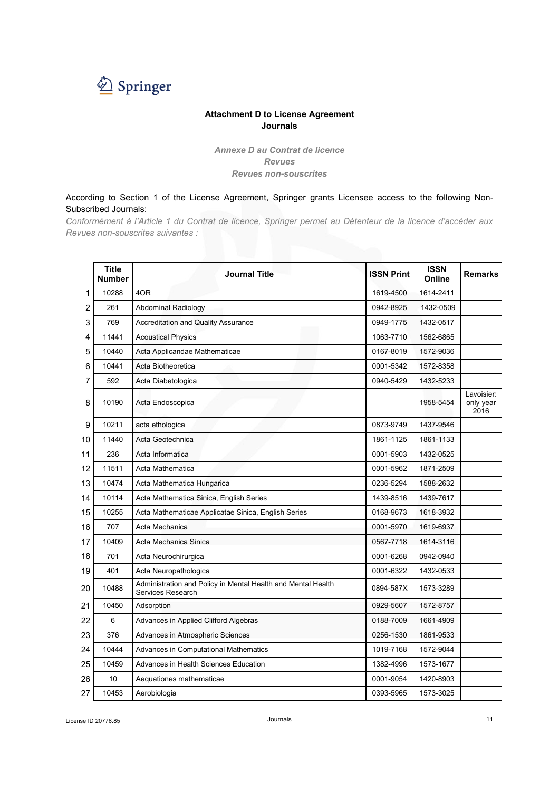

#### **Attachment D to License Agreement Journals**

*Annexe D au Contrat de licence Revues Revues non-souscrites* 

According to Section 1 of the License Agreement, Springer grants Licensee access to the following Non-Subscribed Journals:

*Conformément à l'Article 1 du Contrat de licence, Springer permet au Détenteur de la licence d'accéder aux Revues non-souscrites suivantes :* 

|    | <b>Title</b><br><b>Number</b> | <b>Journal Title</b>                                                              | <b>ISSN Print</b> | <b>ISSN</b><br>Online | <b>Remarks</b>                  |
|----|-------------------------------|-----------------------------------------------------------------------------------|-------------------|-----------------------|---------------------------------|
| 1  | 10288                         | 4OR                                                                               | 1619-4500         | 1614-2411             |                                 |
| 2  | 261                           | <b>Abdominal Radiology</b>                                                        | 0942-8925         | 1432-0509             |                                 |
| 3  | 769                           | <b>Accreditation and Quality Assurance</b>                                        | 0949-1775         | 1432-0517             |                                 |
| 4  | 11441                         | <b>Acoustical Physics</b>                                                         | 1063-7710         | 1562-6865             |                                 |
| 5  | 10440                         | Acta Applicandae Mathematicae                                                     | 0167-8019         | 1572-9036             |                                 |
| 6  | 10441                         | Acta Biotheoretica                                                                | 0001-5342         | 1572-8358             |                                 |
| 7  | 592                           | Acta Diabetologica                                                                | 0940-5429         | 1432-5233             |                                 |
| 8  | 10190                         | Acta Endoscopica                                                                  |                   | 1958-5454             | Lavoisier:<br>only year<br>2016 |
| 9  | 10211                         | acta ethologica                                                                   | 0873-9749         | 1437-9546             |                                 |
| 10 | 11440                         | Acta Geotechnica                                                                  | 1861-1125         | 1861-1133             |                                 |
| 11 | 236                           | Acta Informatica                                                                  | 0001-5903         | 1432-0525             |                                 |
| 12 | 11511                         | Acta Mathematica                                                                  | 0001-5962         | 1871-2509             |                                 |
| 13 | 10474                         | Acta Mathematica Hungarica                                                        | 0236-5294         | 1588-2632             |                                 |
| 14 | 10114                         | Acta Mathematica Sinica, English Series                                           | 1439-8516         | 1439-7617             |                                 |
| 15 | 10255                         | Acta Mathematicae Applicatae Sinica, English Series                               | 0168-9673         | 1618-3932             |                                 |
| 16 | 707                           | Acta Mechanica                                                                    | 0001-5970         | 1619-6937             |                                 |
| 17 | 10409                         | Acta Mechanica Sinica                                                             | 0567-7718         | 1614-3116             |                                 |
| 18 | 701                           | Acta Neurochirurgica                                                              | 0001-6268         | 0942-0940             |                                 |
| 19 | 401                           | Acta Neuropathologica                                                             | 0001-6322         | 1432-0533             |                                 |
| 20 | 10488                         | Administration and Policy in Mental Health and Mental Health<br>Services Research | 0894-587X         | 1573-3289             |                                 |
| 21 | 10450                         | Adsorption                                                                        | 0929-5607         | 1572-8757             |                                 |
| 22 | 6                             | Advances in Applied Clifford Algebras                                             | 0188-7009         | 1661-4909             |                                 |
| 23 | 376                           | Advances in Atmospheric Sciences                                                  | 0256-1530         | 1861-9533             |                                 |
| 24 | 10444                         | Advances in Computational Mathematics                                             | 1019-7168         | 1572-9044             |                                 |
| 25 | 10459                         | Advances in Health Sciences Education                                             | 1382-4996         | 1573-1677             |                                 |
| 26 | 10                            | Aequationes mathematicae                                                          | 0001-9054         | 1420-8903             |                                 |
| 27 | 10453                         | Aerobiologia                                                                      | 0393-5965         | 1573-3025             |                                 |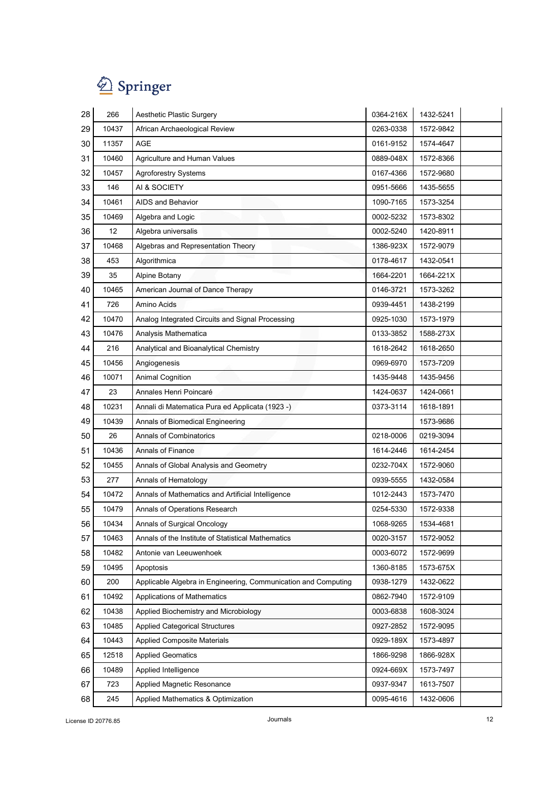

| 28 | 266   | Aesthetic Plastic Surgery                                      | 0364-216X | 1432-5241 |  |
|----|-------|----------------------------------------------------------------|-----------|-----------|--|
| 29 | 10437 | African Archaeological Review                                  | 0263-0338 | 1572-9842 |  |
| 30 | 11357 | AGE                                                            | 0161-9152 | 1574-4647 |  |
| 31 | 10460 | Agriculture and Human Values                                   | 0889-048X | 1572-8366 |  |
| 32 | 10457 | <b>Agroforestry Systems</b>                                    | 0167-4366 | 1572-9680 |  |
| 33 | 146   | AI & SOCIETY                                                   | 0951-5666 | 1435-5655 |  |
| 34 | 10461 | AIDS and Behavior                                              | 1090-7165 | 1573-3254 |  |
| 35 | 10469 | Algebra and Logic                                              | 0002-5232 | 1573-8302 |  |
| 36 | 12    | Algebra universalis                                            | 0002-5240 | 1420-8911 |  |
| 37 | 10468 | Algebras and Representation Theory                             | 1386-923X | 1572-9079 |  |
| 38 | 453   | Algorithmica                                                   | 0178-4617 | 1432-0541 |  |
| 39 | 35    | Alpine Botany                                                  | 1664-2201 | 1664-221X |  |
| 40 | 10465 | American Journal of Dance Therapy                              | 0146-3721 | 1573-3262 |  |
| 41 | 726   | Amino Acids                                                    | 0939-4451 | 1438-2199 |  |
| 42 | 10470 | Analog Integrated Circuits and Signal Processing               | 0925-1030 | 1573-1979 |  |
| 43 | 10476 | Analysis Mathematica                                           | 0133-3852 | 1588-273X |  |
| 44 | 216   | Analytical and Bioanalytical Chemistry                         | 1618-2642 | 1618-2650 |  |
| 45 | 10456 | Angiogenesis                                                   | 0969-6970 | 1573-7209 |  |
| 46 | 10071 | <b>Animal Cognition</b>                                        | 1435-9448 | 1435-9456 |  |
| 47 | 23    | Annales Henri Poincaré                                         | 1424-0637 | 1424-0661 |  |
| 48 | 10231 | Annali di Matematica Pura ed Applicata (1923 -)                | 0373-3114 | 1618-1891 |  |
| 49 | 10439 | Annals of Biomedical Engineering                               |           | 1573-9686 |  |
| 50 | 26    | <b>Annals of Combinatorics</b>                                 | 0218-0006 | 0219-3094 |  |
| 51 | 10436 | <b>Annals of Finance</b>                                       | 1614-2446 | 1614-2454 |  |
| 52 | 10455 | Annals of Global Analysis and Geometry                         | 0232-704X | 1572-9060 |  |
| 53 | 277   | Annals of Hematology                                           | 0939-5555 | 1432-0584 |  |
| 54 | 10472 | Annals of Mathematics and Artificial Intelligence              | 1012-2443 | 1573-7470 |  |
| 55 | 10479 | Annals of Operations Research                                  | 0254-5330 | 1572-9338 |  |
| 56 | 10434 | Annals of Surgical Oncology                                    | 1068-9265 | 1534-4681 |  |
| 57 | 10463 | Annals of the Institute of Statistical Mathematics             | 0020-3157 | 1572-9052 |  |
| 58 | 10482 | Antonie van Leeuwenhoek                                        | 0003-6072 | 1572-9699 |  |
| 59 | 10495 | Apoptosis                                                      | 1360-8185 | 1573-675X |  |
| 60 | 200   | Applicable Algebra in Engineering, Communication and Computing | 0938-1279 | 1432-0622 |  |
| 61 | 10492 | Applications of Mathematics                                    | 0862-7940 | 1572-9109 |  |
| 62 | 10438 | Applied Biochemistry and Microbiology                          | 0003-6838 | 1608-3024 |  |
| 63 | 10485 | <b>Applied Categorical Structures</b>                          | 0927-2852 | 1572-9095 |  |
| 64 | 10443 | <b>Applied Composite Materials</b>                             | 0929-189X | 1573-4897 |  |
| 65 | 12518 | <b>Applied Geomatics</b>                                       | 1866-9298 | 1866-928X |  |
| 66 | 10489 | Applied Intelligence                                           | 0924-669X | 1573-7497 |  |
| 67 | 723   | Applied Magnetic Resonance                                     | 0937-9347 | 1613-7507 |  |
| 68 | 245   | Applied Mathematics & Optimization                             | 0095-4616 | 1432-0606 |  |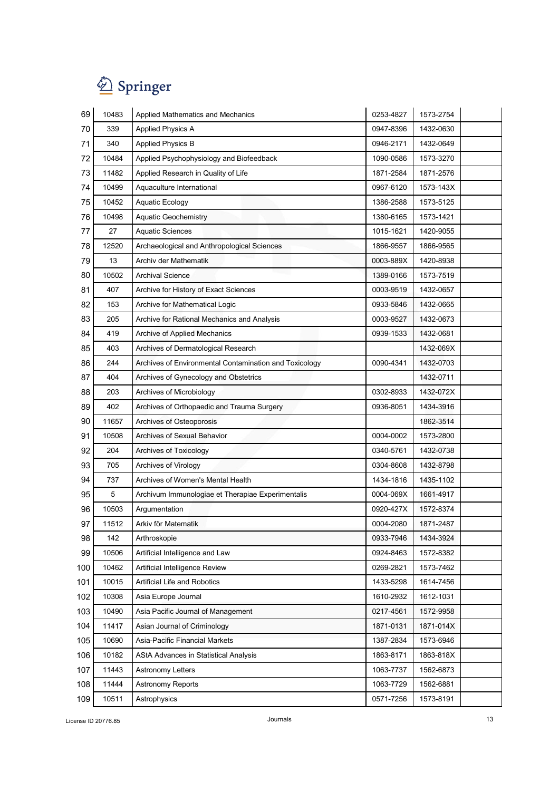| 69  | 10483 | Applied Mathematics and Mechanics                      | 0253-4827 | 1573-2754 |  |
|-----|-------|--------------------------------------------------------|-----------|-----------|--|
| 70  | 339   | <b>Applied Physics A</b>                               | 0947-8396 | 1432-0630 |  |
| 71  | 340   | <b>Applied Physics B</b>                               | 0946-2171 | 1432-0649 |  |
| 72  | 10484 | Applied Psychophysiology and Biofeedback               | 1090-0586 | 1573-3270 |  |
| 73  | 11482 | Applied Research in Quality of Life                    | 1871-2584 | 1871-2576 |  |
| 74  | 10499 | Aquaculture International                              | 0967-6120 | 1573-143X |  |
| 75  | 10452 | <b>Aquatic Ecology</b>                                 | 1386-2588 | 1573-5125 |  |
| 76  | 10498 | <b>Aquatic Geochemistry</b>                            | 1380-6165 | 1573-1421 |  |
| 77  | 27    | <b>Aquatic Sciences</b>                                | 1015-1621 | 1420-9055 |  |
| 78  | 12520 | Archaeological and Anthropological Sciences            | 1866-9557 | 1866-9565 |  |
| 79  | 13    | Archiv der Mathematik                                  | 0003-889X | 1420-8938 |  |
| 80  | 10502 | <b>Archival Science</b>                                | 1389-0166 | 1573-7519 |  |
| 81  | 407   | Archive for History of Exact Sciences                  | 0003-9519 | 1432-0657 |  |
| 82  | 153   | Archive for Mathematical Logic                         | 0933-5846 | 1432-0665 |  |
| 83  | 205   | Archive for Rational Mechanics and Analysis            | 0003-9527 | 1432-0673 |  |
| 84  | 419   | Archive of Applied Mechanics                           | 0939-1533 | 1432-0681 |  |
| 85  | 403   | Archives of Dermatological Research                    |           | 1432-069X |  |
| 86  | 244   | Archives of Environmental Contamination and Toxicology | 0090-4341 | 1432-0703 |  |
| 87  | 404   | Archives of Gynecology and Obstetrics                  |           | 1432-0711 |  |
| 88  | 203   | Archives of Microbiology                               | 0302-8933 | 1432-072X |  |
| 89  | 402   | Archives of Orthopaedic and Trauma Surgery             | 0936-8051 | 1434-3916 |  |
| 90  | 11657 | Archives of Osteoporosis                               |           | 1862-3514 |  |
| 91  | 10508 | <b>Archives of Sexual Behavior</b>                     | 0004-0002 | 1573-2800 |  |
| 92  | 204   | Archives of Toxicology                                 | 0340-5761 | 1432-0738 |  |
| 93  | 705   | Archives of Virology                                   | 0304-8608 | 1432-8798 |  |
| 94  | 737   | Archives of Women's Mental Health                      | 1434-1816 | 1435-1102 |  |
| 95  | 5     | Archivum Immunologiae et Therapiae Experimentalis      | 0004-069X | 1661-4917 |  |
| 96  | 10503 | Argumentation                                          | 0920-427X | 1572-8374 |  |
| 97  | 11512 | Arkiv för Matematik                                    | 0004-2080 | 1871-2487 |  |
| 98  | 142   | Arthroskopie                                           | 0933-7946 | 1434-3924 |  |
| 99  | 10506 | Artificial Intelligence and Law                        | 0924-8463 | 1572-8382 |  |
| 100 | 10462 | Artificial Intelligence Review                         | 0269-2821 | 1573-7462 |  |
| 101 | 10015 | Artificial Life and Robotics                           | 1433-5298 | 1614-7456 |  |
| 102 | 10308 | Asia Europe Journal                                    | 1610-2932 | 1612-1031 |  |
| 103 | 10490 | Asia Pacific Journal of Management                     | 0217-4561 | 1572-9958 |  |
| 104 | 11417 | Asian Journal of Criminology                           | 1871-0131 | 1871-014X |  |
| 105 | 10690 | Asia-Pacific Financial Markets                         | 1387-2834 | 1573-6946 |  |
| 106 | 10182 | AStA Advances in Statistical Analysis                  | 1863-8171 | 1863-818X |  |
| 107 | 11443 | <b>Astronomy Letters</b>                               | 1063-7737 | 1562-6873 |  |
| 108 | 11444 | Astronomy Reports                                      | 1063-7729 | 1562-6881 |  |
| 109 | 10511 | Astrophysics                                           | 0571-7256 | 1573-8191 |  |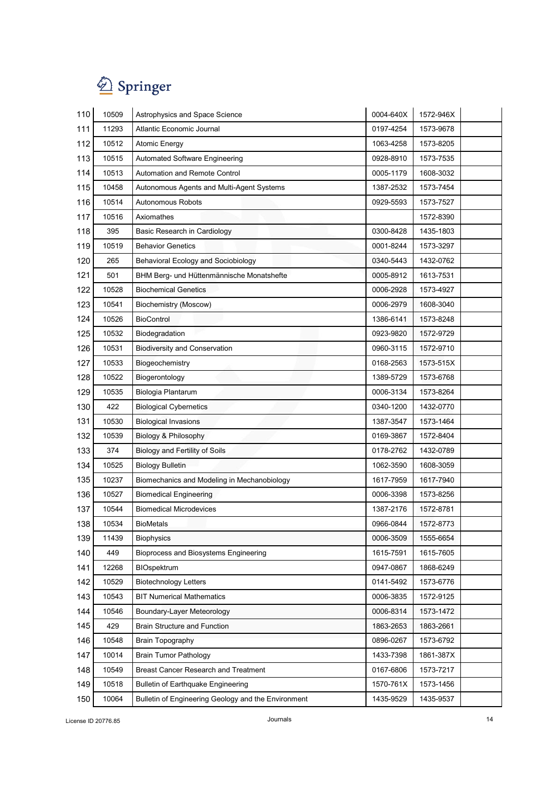

| 110 | 10509 | Astrophysics and Space Science                      | 0004-640X | 1572-946X |
|-----|-------|-----------------------------------------------------|-----------|-----------|
| 111 | 11293 | <b>Atlantic Economic Journal</b>                    | 0197-4254 | 1573-9678 |
| 112 | 10512 | <b>Atomic Energy</b>                                | 1063-4258 | 1573-8205 |
| 113 | 10515 | <b>Automated Software Engineering</b>               | 0928-8910 | 1573-7535 |
| 114 | 10513 | Automation and Remote Control                       | 0005-1179 | 1608-3032 |
| 115 | 10458 | Autonomous Agents and Multi-Agent Systems           | 1387-2532 | 1573-7454 |
| 116 | 10514 | Autonomous Robots                                   | 0929-5593 | 1573-7527 |
| 117 | 10516 | Axiomathes                                          |           | 1572-8390 |
| 118 | 395   | Basic Research in Cardiology                        | 0300-8428 | 1435-1803 |
| 119 | 10519 | <b>Behavior Genetics</b>                            | 0001-8244 | 1573-3297 |
| 120 | 265   | <b>Behavioral Ecology and Sociobiology</b>          | 0340-5443 | 1432-0762 |
| 121 | 501   | BHM Berg- und Hüttenmännische Monatshefte           | 0005-8912 | 1613-7531 |
| 122 | 10528 | <b>Biochemical Genetics</b>                         | 0006-2928 | 1573-4927 |
| 123 | 10541 | <b>Biochemistry (Moscow)</b>                        | 0006-2979 | 1608-3040 |
| 124 | 10526 | <b>BioControl</b>                                   | 1386-6141 | 1573-8248 |
| 125 | 10532 | Biodegradation                                      | 0923-9820 | 1572-9729 |
| 126 | 10531 | <b>Biodiversity and Conservation</b>                | 0960-3115 | 1572-9710 |
| 127 | 10533 | Biogeochemistry                                     | 0168-2563 | 1573-515X |
| 128 | 10522 | Biogerontology                                      | 1389-5729 | 1573-6768 |
| 129 | 10535 | Biologia Plantarum                                  | 0006-3134 | 1573-8264 |
| 130 | 422   | <b>Biological Cybernetics</b>                       | 0340-1200 | 1432-0770 |
| 131 | 10530 | <b>Biological Invasions</b>                         | 1387-3547 | 1573-1464 |
| 132 | 10539 | Biology & Philosophy                                | 0169-3867 | 1572-8404 |
| 133 | 374   | Biology and Fertility of Soils                      | 0178-2762 | 1432-0789 |
| 134 | 10525 | <b>Biology Bulletin</b>                             | 1062-3590 | 1608-3059 |
| 135 | 10237 | Biomechanics and Modeling in Mechanobiology         | 1617-7959 | 1617-7940 |
| 136 | 10527 | <b>Biomedical Engineering</b>                       | 0006-3398 | 1573-8256 |
| 137 | 10544 | <b>Biomedical Microdevices</b>                      | 1387-2176 | 1572-8781 |
| 138 | 10534 | <b>BioMetals</b>                                    | 0966-0844 | 1572-8773 |
| 139 | 11439 | <b>Biophysics</b>                                   | 0006-3509 | 1555-6654 |
| 140 | 449   | Bioprocess and Biosystems Engineering               | 1615-7591 | 1615-7605 |
| 141 | 12268 | BIOspektrum                                         | 0947-0867 | 1868-6249 |
| 142 | 10529 | <b>Biotechnology Letters</b>                        | 0141-5492 | 1573-6776 |
| 143 | 10543 | <b>BIT Numerical Mathematics</b>                    | 0006-3835 | 1572-9125 |
| 144 | 10546 | Boundary-Layer Meteorology                          | 0006-8314 | 1573-1472 |
| 145 | 429   | <b>Brain Structure and Function</b>                 | 1863-2653 | 1863-2661 |
| 146 | 10548 | Brain Topography                                    | 0896-0267 | 1573-6792 |
| 147 | 10014 | <b>Brain Tumor Pathology</b>                        | 1433-7398 | 1861-387X |
| 148 | 10549 | Breast Cancer Research and Treatment                | 0167-6806 | 1573-7217 |
| 149 | 10518 | <b>Bulletin of Earthquake Engineering</b>           | 1570-761X | 1573-1456 |
| 150 | 10064 | Bulletin of Engineering Geology and the Environment | 1435-9529 | 1435-9537 |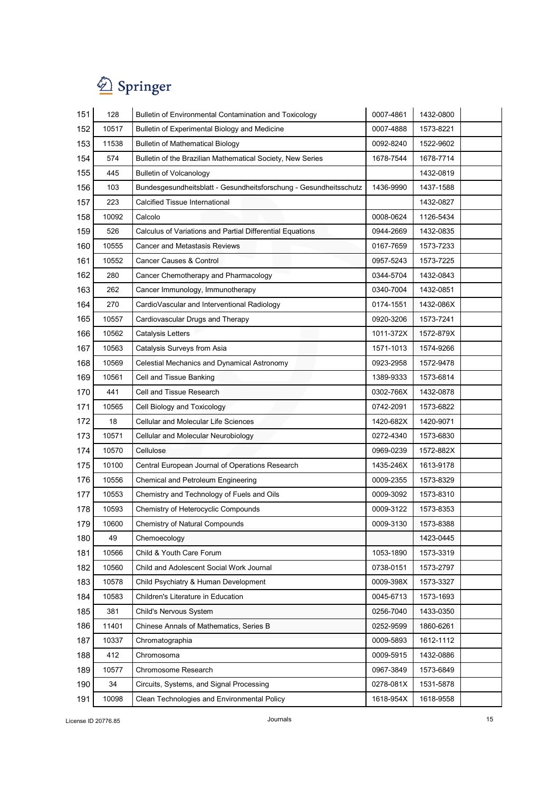| 151 | 128   | Bulletin of Environmental Contamination and Toxicology            | 0007-4861 | 1432-0800 |  |
|-----|-------|-------------------------------------------------------------------|-----------|-----------|--|
| 152 | 10517 | Bulletin of Experimental Biology and Medicine                     | 0007-4888 | 1573-8221 |  |
| 153 | 11538 | <b>Bulletin of Mathematical Biology</b>                           | 0092-8240 | 1522-9602 |  |
| 154 | 574   | Bulletin of the Brazilian Mathematical Society, New Series        | 1678-7544 | 1678-7714 |  |
| 155 | 445   | <b>Bulletin of Volcanology</b>                                    |           | 1432-0819 |  |
| 156 | 103   | Bundesgesundheitsblatt - Gesundheitsforschung - Gesundheitsschutz | 1436-9990 | 1437-1588 |  |
| 157 | 223   | Calcified Tissue International                                    |           | 1432-0827 |  |
| 158 | 10092 | Calcolo                                                           | 0008-0624 | 1126-5434 |  |
| 159 | 526   | Calculus of Variations and Partial Differential Equations         | 0944-2669 | 1432-0835 |  |
| 160 | 10555 | <b>Cancer and Metastasis Reviews</b>                              | 0167-7659 | 1573-7233 |  |
| 161 | 10552 | Cancer Causes & Control                                           | 0957-5243 | 1573-7225 |  |
| 162 | 280   | Cancer Chemotherapy and Pharmacology                              | 0344-5704 | 1432-0843 |  |
| 163 | 262   | Cancer Immunology, Immunotherapy                                  | 0340-7004 | 1432-0851 |  |
| 164 | 270   | CardioVascular and Interventional Radiology                       | 0174-1551 | 1432-086X |  |
| 165 | 10557 | Cardiovascular Drugs and Therapy                                  | 0920-3206 | 1573-7241 |  |
| 166 | 10562 | <b>Catalysis Letters</b>                                          | 1011-372X | 1572-879X |  |
| 167 | 10563 | Catalysis Surveys from Asia                                       | 1571-1013 | 1574-9266 |  |
| 168 | 10569 | Celestial Mechanics and Dynamical Astronomy                       | 0923-2958 | 1572-9478 |  |
| 169 | 10561 | Cell and Tissue Banking                                           | 1389-9333 | 1573-6814 |  |
| 170 | 441   | Cell and Tissue Research                                          | 0302-766X | 1432-0878 |  |
| 171 | 10565 | Cell Biology and Toxicology                                       | 0742-2091 | 1573-6822 |  |
| 172 | 18    | <b>Cellular and Molecular Life Sciences</b>                       | 1420-682X | 1420-9071 |  |
| 173 | 10571 | Cellular and Molecular Neurobiology                               | 0272-4340 | 1573-6830 |  |
| 174 | 10570 | Cellulose                                                         | 0969-0239 | 1572-882X |  |
| 175 | 10100 | Central European Journal of Operations Research                   | 1435-246X | 1613-9178 |  |
| 176 | 10556 | Chemical and Petroleum Engineering                                | 0009-2355 | 1573-8329 |  |
| 177 | 10553 | Chemistry and Technology of Fuels and Oils                        | 0009-3092 | 1573-8310 |  |
| 178 | 10593 | Chemistry of Heterocyclic Compounds                               | 0009-3122 | 1573-8353 |  |
| 179 | 10600 | Chemistry of Natural Compounds                                    | 0009-3130 | 1573-8388 |  |
| 180 | 49    | Chemoecology                                                      |           | 1423-0445 |  |
| 181 | 10566 | Child & Youth Care Forum                                          | 1053-1890 | 1573-3319 |  |
| 182 | 10560 | Child and Adolescent Social Work Journal                          | 0738-0151 | 1573-2797 |  |
| 183 | 10578 | Child Psychiatry & Human Development                              | 0009-398X | 1573-3327 |  |
| 184 | 10583 | Children's Literature in Education                                | 0045-6713 | 1573-1693 |  |
| 185 | 381   | Child's Nervous System                                            | 0256-7040 | 1433-0350 |  |
| 186 | 11401 | Chinese Annals of Mathematics, Series B                           | 0252-9599 | 1860-6261 |  |
| 187 | 10337 | Chromatographia                                                   | 0009-5893 | 1612-1112 |  |
| 188 | 412   | Chromosoma                                                        | 0009-5915 | 1432-0886 |  |
| 189 | 10577 | Chromosome Research                                               | 0967-3849 | 1573-6849 |  |
| 190 | 34    | Circuits, Systems, and Signal Processing                          | 0278-081X | 1531-5878 |  |
| 191 | 10098 | Clean Technologies and Environmental Policy                       | 1618-954X | 1618-9558 |  |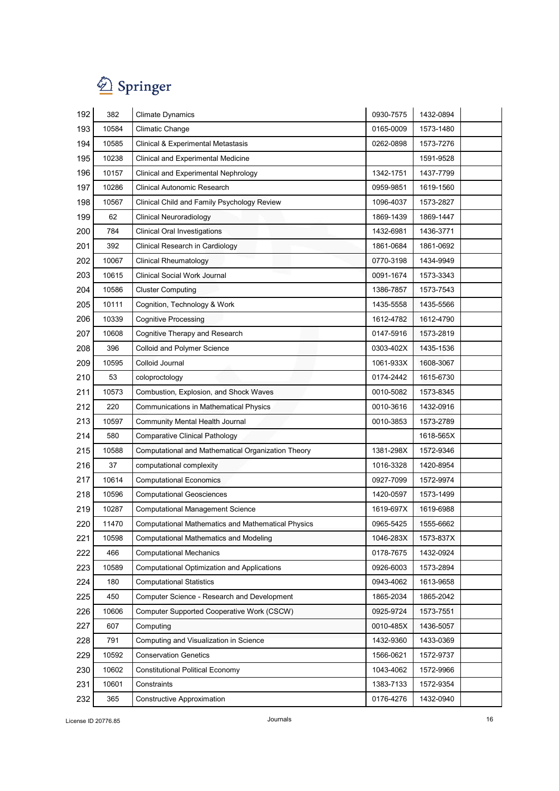

| 192 | 382   | <b>Climate Dynamics</b>                            | 0930-7575 | 1432-0894 |
|-----|-------|----------------------------------------------------|-----------|-----------|
| 193 | 10584 | <b>Climatic Change</b>                             | 0165-0009 | 1573-1480 |
| 194 | 10585 | Clinical & Experimental Metastasis                 | 0262-0898 | 1573-7276 |
| 195 | 10238 | Clinical and Experimental Medicine                 |           | 1591-9528 |
| 196 | 10157 | Clinical and Experimental Nephrology               | 1342-1751 | 1437-7799 |
| 197 | 10286 | Clinical Autonomic Research                        | 0959-9851 | 1619-1560 |
| 198 | 10567 | Clinical Child and Family Psychology Review        | 1096-4037 | 1573-2827 |
| 199 | 62    | Clinical Neuroradiology                            | 1869-1439 | 1869-1447 |
| 200 | 784   | <b>Clinical Oral Investigations</b>                | 1432-6981 | 1436-3771 |
| 201 | 392   | Clinical Research in Cardiology                    | 1861-0684 | 1861-0692 |
| 202 | 10067 | <b>Clinical Rheumatology</b>                       | 0770-3198 | 1434-9949 |
| 203 | 10615 | <b>Clinical Social Work Journal</b>                | 0091-1674 | 1573-3343 |
| 204 | 10586 | <b>Cluster Computing</b>                           | 1386-7857 | 1573-7543 |
| 205 | 10111 | Cognition, Technology & Work                       | 1435-5558 | 1435-5566 |
| 206 | 10339 | <b>Cognitive Processing</b>                        | 1612-4782 | 1612-4790 |
| 207 | 10608 | Cognitive Therapy and Research                     | 0147-5916 | 1573-2819 |
| 208 | 396   | Colloid and Polymer Science                        | 0303-402X | 1435-1536 |
| 209 | 10595 | Colloid Journal                                    | 1061-933X | 1608-3067 |
| 210 | 53    | coloproctology                                     | 0174-2442 | 1615-6730 |
| 211 | 10573 | Combustion, Explosion, and Shock Waves             | 0010-5082 | 1573-8345 |
| 212 | 220   | Communications in Mathematical Physics             | 0010-3616 | 1432-0916 |
| 213 | 10597 | Community Mental Health Journal                    | 0010-3853 | 1573-2789 |
| 214 | 580   | <b>Comparative Clinical Pathology</b>              |           | 1618-565X |
| 215 | 10588 | Computational and Mathematical Organization Theory | 1381-298X | 1572-9346 |
| 216 | 37    | computational complexity                           | 1016-3328 | 1420-8954 |
| 217 | 10614 | <b>Computational Economics</b>                     | 0927-7099 | 1572-9974 |
| 218 | 10596 | <b>Computational Geosciences</b>                   | 1420-0597 | 1573-1499 |
| 219 | 10287 | <b>Computational Management Science</b>            | 1619-697X | 1619-6988 |
| 220 | 11470 | Computational Mathematics and Mathematical Physics | 0965-5425 | 1555-6662 |
| 221 | 10598 | <b>Computational Mathematics and Modeling</b>      | 1046-283X | 1573-837X |
| 222 | 466   | <b>Computational Mechanics</b>                     | 0178-7675 | 1432-0924 |
| 223 | 10589 | Computational Optimization and Applications        | 0926-6003 | 1573-2894 |
| 224 | 180   | <b>Computational Statistics</b>                    | 0943-4062 | 1613-9658 |
| 225 | 450   | Computer Science - Research and Development        | 1865-2034 | 1865-2042 |
| 226 | 10606 | Computer Supported Cooperative Work (CSCW)         | 0925-9724 | 1573-7551 |
| 227 | 607   | Computing                                          | 0010-485X | 1436-5057 |
| 228 | 791   | Computing and Visualization in Science             | 1432-9360 | 1433-0369 |
| 229 | 10592 | <b>Conservation Genetics</b>                       | 1566-0621 | 1572-9737 |
| 230 | 10602 | <b>Constitutional Political Economy</b>            | 1043-4062 | 1572-9966 |
| 231 | 10601 | Constraints                                        | 1383-7133 | 1572-9354 |
| 232 | 365   | Constructive Approximation                         | 0176-4276 | 1432-0940 |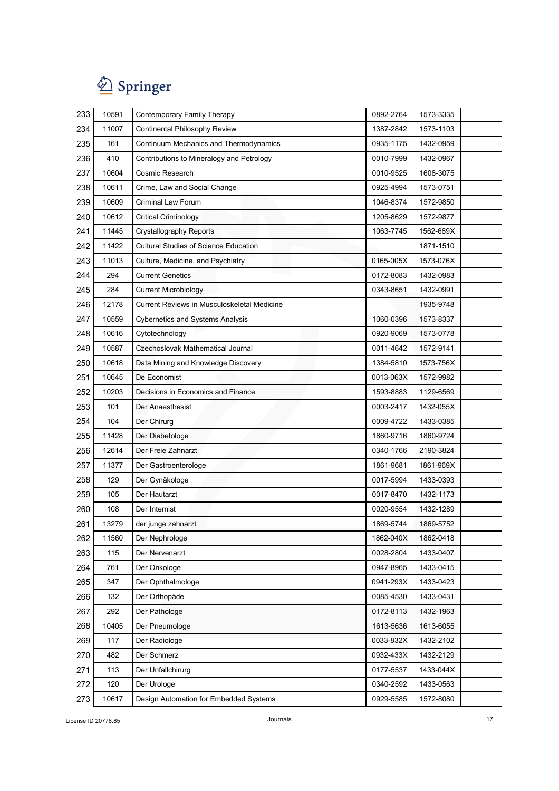

| 233 | 10591 | Contemporary Family Therapy                  | 0892-2764 | 1573-3335 |
|-----|-------|----------------------------------------------|-----------|-----------|
| 234 | 11007 | Continental Philosophy Review                | 1387-2842 | 1573-1103 |
| 235 | 161   | Continuum Mechanics and Thermodynamics       | 0935-1175 | 1432-0959 |
| 236 | 410   | Contributions to Mineralogy and Petrology    | 0010-7999 | 1432-0967 |
| 237 | 10604 | Cosmic Research                              | 0010-9525 | 1608-3075 |
| 238 | 10611 | Crime, Law and Social Change                 | 0925-4994 | 1573-0751 |
| 239 | 10609 | <b>Criminal Law Forum</b>                    | 1046-8374 | 1572-9850 |
| 240 | 10612 | <b>Critical Criminology</b>                  | 1205-8629 | 1572-9877 |
| 241 | 11445 | <b>Crystallography Reports</b>               | 1063-7745 | 1562-689X |
| 242 | 11422 | <b>Cultural Studies of Science Education</b> |           | 1871-1510 |
| 243 | 11013 | Culture, Medicine, and Psychiatry            | 0165-005X | 1573-076X |
| 244 | 294   | <b>Current Genetics</b>                      | 0172-8083 | 1432-0983 |
| 245 | 284   | <b>Current Microbiology</b>                  | 0343-8651 | 1432-0991 |
| 246 | 12178 | Current Reviews in Musculoskeletal Medicine  |           | 1935-9748 |
| 247 | 10559 | <b>Cybernetics and Systems Analysis</b>      | 1060-0396 | 1573-8337 |
| 248 | 10616 | Cytotechnology                               | 0920-9069 | 1573-0778 |
| 249 | 10587 | Czechoslovak Mathematical Journal            | 0011-4642 | 1572-9141 |
| 250 | 10618 | Data Mining and Knowledge Discovery          | 1384-5810 | 1573-756X |
| 251 | 10645 | De Economist                                 | 0013-063X | 1572-9982 |
| 252 | 10203 | Decisions in Economics and Finance           | 1593-8883 | 1129-6569 |
| 253 | 101   | Der Anaesthesist                             | 0003-2417 | 1432-055X |
| 254 | 104   | Der Chirurg                                  | 0009-4722 | 1433-0385 |
| 255 | 11428 | Der Diabetologe                              | 1860-9716 | 1860-9724 |
| 256 | 12614 | Der Freie Zahnarzt                           | 0340-1766 | 2190-3824 |
| 257 | 11377 | Der Gastroenterologe                         | 1861-9681 | 1861-969X |
| 258 | 129   | Der Gynäkologe                               | 0017-5994 | 1433-0393 |
| 259 | 105   | Der Hautarzt                                 | 0017-8470 | 1432-1173 |
| 260 | 108   | Der Internist                                | 0020-9554 | 1432-1289 |
| 261 | 13279 | der junge zahnarzt                           | 1869-5744 | 1869-5752 |
| 262 | 11560 | Der Nephrologe                               | 1862-040X | 1862-0418 |
| 263 | 115   | Der Nervenarzt                               | 0028-2804 | 1433-0407 |
| 264 | 761   | Der Onkologe                                 | 0947-8965 | 1433-0415 |
| 265 | 347   | Der Ophthalmologe                            | 0941-293X | 1433-0423 |
| 266 | 132   | Der Orthopäde                                | 0085-4530 | 1433-0431 |
| 267 | 292   | Der Pathologe                                | 0172-8113 | 1432-1963 |
| 268 | 10405 | Der Pneumologe                               | 1613-5636 | 1613-6055 |
| 269 | 117   | Der Radiologe                                | 0033-832X | 1432-2102 |
| 270 | 482   | Der Schmerz                                  | 0932-433X | 1432-2129 |
| 271 | 113   | Der Unfallchirurg                            | 0177-5537 | 1433-044X |
| 272 | 120   | Der Urologe                                  | 0340-2592 | 1433-0563 |
| 273 | 10617 | Design Automation for Embedded Systems       | 0929-5585 | 1572-8080 |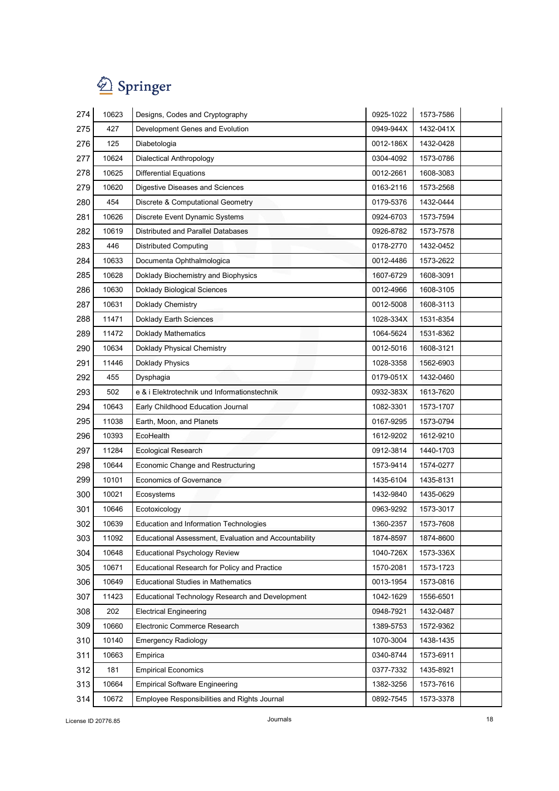

| 274 | 10623 | Designs, Codes and Cryptography                       | 0925-1022 | 1573-7586 |
|-----|-------|-------------------------------------------------------|-----------|-----------|
| 275 | 427   | Development Genes and Evolution                       | 0949-944X | 1432-041X |
| 276 | 125   | Diabetologia                                          | 0012-186X | 1432-0428 |
| 277 | 10624 | Dialectical Anthropology                              | 0304-4092 | 1573-0786 |
| 278 | 10625 | <b>Differential Equations</b>                         | 0012-2661 | 1608-3083 |
| 279 | 10620 | Digestive Diseases and Sciences                       | 0163-2116 | 1573-2568 |
| 280 | 454   | Discrete & Computational Geometry                     | 0179-5376 | 1432-0444 |
| 281 | 10626 | Discrete Event Dynamic Systems                        | 0924-6703 | 1573-7594 |
| 282 | 10619 | Distributed and Parallel Databases                    | 0926-8782 | 1573-7578 |
| 283 | 446   | <b>Distributed Computing</b>                          | 0178-2770 | 1432-0452 |
| 284 | 10633 | Documenta Ophthalmologica                             | 0012-4486 | 1573-2622 |
| 285 | 10628 | Doklady Biochemistry and Biophysics                   | 1607-6729 | 1608-3091 |
| 286 | 10630 | <b>Doklady Biological Sciences</b>                    | 0012-4966 | 1608-3105 |
| 287 | 10631 | Doklady Chemistry                                     | 0012-5008 | 1608-3113 |
| 288 | 11471 | Doklady Earth Sciences                                | 1028-334X | 1531-8354 |
| 289 | 11472 | <b>Doklady Mathematics</b>                            | 1064-5624 | 1531-8362 |
| 290 | 10634 | Doklady Physical Chemistry                            | 0012-5016 | 1608-3121 |
| 291 | 11446 | <b>Doklady Physics</b>                                | 1028-3358 | 1562-6903 |
| 292 | 455   | Dysphagia                                             | 0179-051X | 1432-0460 |
| 293 | 502   | e & i Elektrotechnik und Informationstechnik          | 0932-383X | 1613-7620 |
| 294 | 10643 | Early Childhood Education Journal                     | 1082-3301 | 1573-1707 |
| 295 | 11038 | Earth, Moon, and Planets                              | 0167-9295 | 1573-0794 |
| 296 | 10393 | EcoHealth                                             | 1612-9202 | 1612-9210 |
| 297 | 11284 | <b>Ecological Research</b>                            | 0912-3814 | 1440-1703 |
| 298 | 10644 | <b>Economic Change and Restructuring</b>              | 1573-9414 | 1574-0277 |
| 299 | 10101 | <b>Economics of Governance</b>                        | 1435-6104 | 1435-8131 |
| 300 | 10021 | Ecosystems                                            | 1432-9840 | 1435-0629 |
| 301 | 10646 | Ecotoxicology                                         | 0963-9292 | 1573-3017 |
| 302 | 10639 | <b>Education and Information Technologies</b>         | 1360-2357 | 1573-7608 |
| 303 | 11092 | Educational Assessment, Evaluation and Accountability | 1874-8597 | 1874-8600 |
| 304 | 10648 | <b>Educational Psychology Review</b>                  | 1040-726X | 1573-336X |
| 305 | 10671 | <b>Educational Research for Policy and Practice</b>   | 1570-2081 | 1573-1723 |
| 306 | 10649 | <b>Educational Studies in Mathematics</b>             | 0013-1954 | 1573-0816 |
| 307 | 11423 | Educational Technology Research and Development       | 1042-1629 | 1556-6501 |
| 308 | 202   | <b>Electrical Engineering</b>                         | 0948-7921 | 1432-0487 |
| 309 | 10660 | Electronic Commerce Research                          | 1389-5753 | 1572-9362 |
| 310 | 10140 | <b>Emergency Radiology</b>                            | 1070-3004 | 1438-1435 |
| 311 | 10663 | Empirica                                              | 0340-8744 | 1573-6911 |
| 312 | 181   | <b>Empirical Economics</b>                            | 0377-7332 | 1435-8921 |
| 313 | 10664 | <b>Empirical Software Engineering</b>                 | 1382-3256 | 1573-7616 |
| 314 | 10672 | Employee Responsibilities and Rights Journal          | 0892-7545 | 1573-3378 |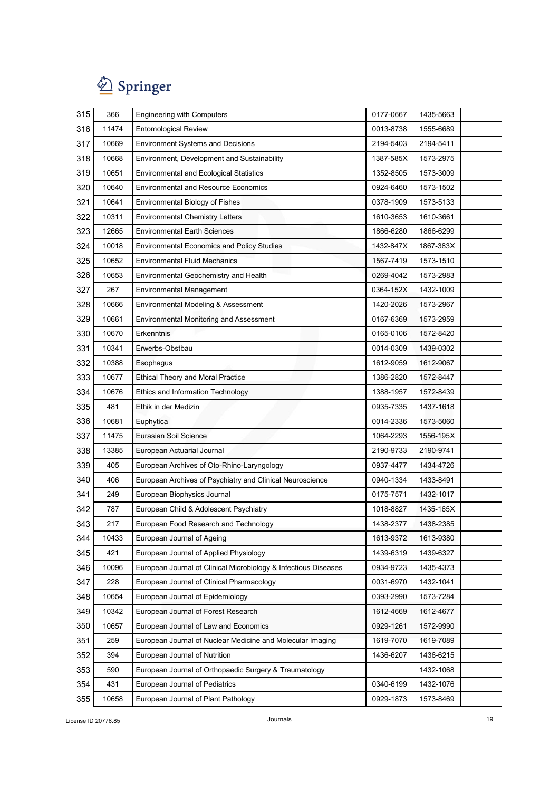| 315 | 366   | <b>Engineering with Computers</b>                               | 0177-0667 | 1435-5663 |
|-----|-------|-----------------------------------------------------------------|-----------|-----------|
| 316 | 11474 | <b>Entomological Review</b>                                     | 0013-8738 | 1555-6689 |
| 317 | 10669 | <b>Environment Systems and Decisions</b>                        | 2194-5403 | 2194-5411 |
| 318 | 10668 | Environment, Development and Sustainability                     | 1387-585X | 1573-2975 |
| 319 | 10651 | <b>Environmental and Ecological Statistics</b>                  | 1352-8505 | 1573-3009 |
| 320 | 10640 | <b>Environmental and Resource Economics</b>                     | 0924-6460 | 1573-1502 |
| 321 | 10641 | Environmental Biology of Fishes                                 | 0378-1909 | 1573-5133 |
| 322 | 10311 | <b>Environmental Chemistry Letters</b>                          | 1610-3653 | 1610-3661 |
| 323 | 12665 | <b>Environmental Earth Sciences</b>                             | 1866-6280 | 1866-6299 |
| 324 | 10018 | <b>Environmental Economics and Policy Studies</b>               | 1432-847X | 1867-383X |
| 325 | 10652 | <b>Environmental Fluid Mechanics</b>                            | 1567-7419 | 1573-1510 |
| 326 | 10653 | Environmental Geochemistry and Health                           | 0269-4042 | 1573-2983 |
| 327 | 267   | <b>Environmental Management</b>                                 | 0364-152X | 1432-1009 |
| 328 | 10666 | Environmental Modeling & Assessment                             | 1420-2026 | 1573-2967 |
| 329 | 10661 | Environmental Monitoring and Assessment                         | 0167-6369 | 1573-2959 |
| 330 | 10670 | Erkenntnis                                                      | 0165-0106 | 1572-8420 |
| 331 | 10341 | Erwerbs-Obstbau                                                 | 0014-0309 | 1439-0302 |
| 332 | 10388 | Esophagus                                                       | 1612-9059 | 1612-9067 |
| 333 | 10677 | <b>Ethical Theory and Moral Practice</b>                        | 1386-2820 | 1572-8447 |
| 334 | 10676 | Ethics and Information Technology                               | 1388-1957 | 1572-8439 |
| 335 | 481   | Ethik in der Medizin                                            | 0935-7335 | 1437-1618 |
| 336 | 10681 | Euphytica                                                       | 0014-2336 | 1573-5060 |
| 337 | 11475 | Eurasian Soil Science                                           | 1064-2293 | 1556-195X |
| 338 | 13385 | European Actuarial Journal                                      | 2190-9733 | 2190-9741 |
| 339 | 405   | European Archives of Oto-Rhino-Laryngology                      | 0937-4477 | 1434-4726 |
| 340 | 406   | European Archives of Psychiatry and Clinical Neuroscience       | 0940-1334 | 1433-8491 |
| 341 | 249   | European Biophysics Journal                                     | 0175-7571 | 1432-1017 |
| 342 | 787   | European Child & Adolescent Psychiatry                          | 1018-8827 | 1435-165X |
| 343 | 217   | European Food Research and Technology                           | 1438-2377 | 1438-2385 |
| 344 | 10433 | European Journal of Ageing                                      | 1613-9372 | 1613-9380 |
| 345 | 421   | European Journal of Applied Physiology                          | 1439-6319 | 1439-6327 |
| 346 | 10096 | European Journal of Clinical Microbiology & Infectious Diseases | 0934-9723 | 1435-4373 |
| 347 | 228   | European Journal of Clinical Pharmacology                       | 0031-6970 | 1432-1041 |
| 348 | 10654 | European Journal of Epidemiology                                | 0393-2990 | 1573-7284 |
| 349 | 10342 | European Journal of Forest Research                             | 1612-4669 | 1612-4677 |
| 350 | 10657 | European Journal of Law and Economics                           | 0929-1261 | 1572-9990 |
| 351 | 259   | European Journal of Nuclear Medicine and Molecular Imaging      | 1619-7070 | 1619-7089 |
| 352 | 394   | European Journal of Nutrition                                   | 1436-6207 | 1436-6215 |
| 353 | 590   | European Journal of Orthopaedic Surgery & Traumatology          |           | 1432-1068 |
| 354 | 431   | European Journal of Pediatrics                                  | 0340-6199 | 1432-1076 |
| 355 | 10658 | European Journal of Plant Pathology                             | 0929-1873 | 1573-8469 |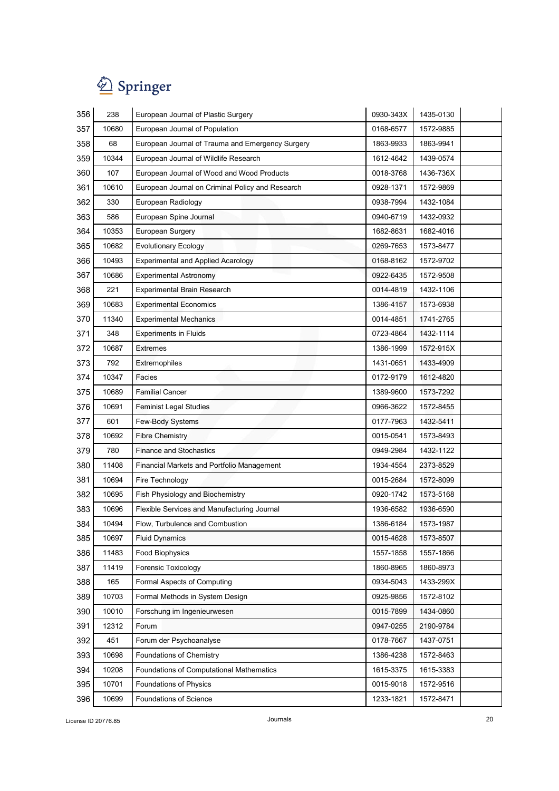| 356 | 238   | European Journal of Plastic Surgery              | 0930-343X | 1435-0130 |
|-----|-------|--------------------------------------------------|-----------|-----------|
| 357 | 10680 | European Journal of Population                   | 0168-6577 | 1572-9885 |
| 358 | 68    | European Journal of Trauma and Emergency Surgery | 1863-9933 | 1863-9941 |
| 359 | 10344 | European Journal of Wildlife Research            | 1612-4642 | 1439-0574 |
| 360 | 107   | European Journal of Wood and Wood Products       | 0018-3768 | 1436-736X |
| 361 | 10610 | European Journal on Criminal Policy and Research | 0928-1371 | 1572-9869 |
| 362 | 330   | European Radiology                               | 0938-7994 | 1432-1084 |
| 363 | 586   | European Spine Journal                           | 0940-6719 | 1432-0932 |
| 364 | 10353 | European Surgery                                 | 1682-8631 | 1682-4016 |
| 365 | 10682 | <b>Evolutionary Ecology</b>                      | 0269-7653 | 1573-8477 |
| 366 | 10493 | <b>Experimental and Applied Acarology</b>        | 0168-8162 | 1572-9702 |
| 367 | 10686 | <b>Experimental Astronomy</b>                    | 0922-6435 | 1572-9508 |
| 368 | 221   | <b>Experimental Brain Research</b>               | 0014-4819 | 1432-1106 |
| 369 | 10683 | <b>Experimental Economics</b>                    | 1386-4157 | 1573-6938 |
| 370 | 11340 | <b>Experimental Mechanics</b>                    | 0014-4851 | 1741-2765 |
| 371 | 348   | <b>Experiments in Fluids</b>                     | 0723-4864 | 1432-1114 |
| 372 | 10687 | <b>Extremes</b>                                  | 1386-1999 | 1572-915X |
| 373 | 792   | Extremophiles                                    | 1431-0651 | 1433-4909 |
| 374 | 10347 | Facies                                           | 0172-9179 | 1612-4820 |
| 375 | 10689 | <b>Familial Cancer</b>                           | 1389-9600 | 1573-7292 |
| 376 | 10691 | <b>Feminist Legal Studies</b>                    | 0966-3622 | 1572-8455 |
| 377 | 601   | Few-Body Systems                                 | 0177-7963 | 1432-5411 |
| 378 | 10692 | <b>Fibre Chemistry</b>                           | 0015-0541 | 1573-8493 |
| 379 | 780   | <b>Finance and Stochastics</b>                   | 0949-2984 | 1432-1122 |
| 380 | 11408 | Financial Markets and Portfolio Management       | 1934-4554 | 2373-8529 |
| 381 | 10694 | Fire Technology                                  | 0015-2684 | 1572-8099 |
| 382 | 10695 | Fish Physiology and Biochemistry                 | 0920-1742 | 1573-5168 |
| 383 | 10696 | Flexible Services and Manufacturing Journal      | 1936-6582 | 1936-6590 |
| 384 | 10494 | Flow, Turbulence and Combustion                  | 1386-6184 | 1573-1987 |
| 385 | 10697 | <b>Fluid Dynamics</b>                            | 0015-4628 | 1573-8507 |
| 386 | 11483 | Food Biophysics                                  | 1557-1858 | 1557-1866 |
| 387 | 11419 | Forensic Toxicology                              | 1860-8965 | 1860-8973 |
| 388 | 165   | Formal Aspects of Computing                      | 0934-5043 | 1433-299X |
| 389 | 10703 | Formal Methods in System Design                  | 0925-9856 | 1572-8102 |
| 390 | 10010 | Forschung im Ingenieurwesen                      | 0015-7899 | 1434-0860 |
| 391 | 12312 | Forum                                            | 0947-0255 | 2190-9784 |
| 392 | 451   | Forum der Psychoanalyse                          | 0178-7667 | 1437-0751 |
| 393 | 10698 | Foundations of Chemistry                         | 1386-4238 | 1572-8463 |
| 394 | 10208 | Foundations of Computational Mathematics         | 1615-3375 | 1615-3383 |
| 395 | 10701 | Foundations of Physics                           | 0015-9018 | 1572-9516 |
| 396 | 10699 | Foundations of Science                           | 1233-1821 | 1572-8471 |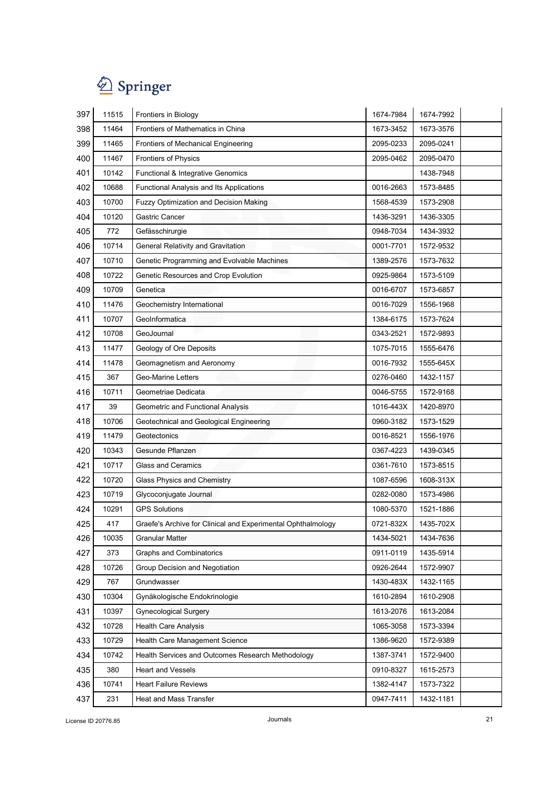

| 397 | 11515 | Frontiers in Biology                                         | 1674-7984 | 1674-7992 |  |
|-----|-------|--------------------------------------------------------------|-----------|-----------|--|
| 398 | 11464 | Frontiers of Mathematics in China                            | 1673-3452 | 1673-3576 |  |
| 399 | 11465 | Frontiers of Mechanical Engineering                          | 2095-0233 | 2095-0241 |  |
| 400 | 11467 | Frontiers of Physics                                         | 2095-0462 | 2095-0470 |  |
| 401 | 10142 | Functional & Integrative Genomics                            |           | 1438-7948 |  |
| 402 | 10688 | Functional Analysis and Its Applications                     | 0016-2663 | 1573-8485 |  |
| 403 | 10700 | Fuzzy Optimization and Decision Making                       | 1568-4539 | 1573-2908 |  |
| 404 | 10120 | Gastric Cancer                                               | 1436-3291 | 1436-3305 |  |
| 405 | 772   | Gefässchirurgie                                              | 0948-7034 | 1434-3932 |  |
| 406 | 10714 | General Relativity and Gravitation                           | 0001-7701 | 1572-9532 |  |
| 407 | 10710 | Genetic Programming and Evolvable Machines                   | 1389-2576 | 1573-7632 |  |
| 408 | 10722 | Genetic Resources and Crop Evolution                         | 0925-9864 | 1573-5109 |  |
| 409 | 10709 | Genetica                                                     | 0016-6707 | 1573-6857 |  |
| 410 | 11476 | Geochemistry International                                   | 0016-7029 | 1556-1968 |  |
| 411 | 10707 | GeoInformatica                                               | 1384-6175 | 1573-7624 |  |
| 412 | 10708 | GeoJournal                                                   | 0343-2521 | 1572-9893 |  |
| 413 | 11477 | Geology of Ore Deposits                                      | 1075-7015 | 1555-6476 |  |
| 414 | 11478 | Geomagnetism and Aeronomy                                    | 0016-7932 | 1555-645X |  |
| 415 | 367   | <b>Geo-Marine Letters</b>                                    | 0276-0460 | 1432-1157 |  |
| 416 | 10711 | Geometriae Dedicata                                          | 0046-5755 | 1572-9168 |  |
| 417 | 39    | Geometric and Functional Analysis                            | 1016-443X | 1420-8970 |  |
| 418 | 10706 | Geotechnical and Geological Engineering                      | 0960-3182 | 1573-1529 |  |
| 419 | 11479 | Geotectonics                                                 | 0016-8521 | 1556-1976 |  |
| 420 | 10343 | Gesunde Pflanzen                                             | 0367-4223 | 1439-0345 |  |
| 421 | 10717 | <b>Glass and Ceramics</b>                                    | 0361-7610 | 1573-8515 |  |
| 422 | 10720 | Glass Physics and Chemistry                                  | 1087-6596 | 1608-313X |  |
| 423 | 10719 | Glycoconjugate Journal                                       | 0282-0080 | 1573-4986 |  |
| 424 | 10291 | <b>GPS Solutions</b>                                         | 1080-5370 | 1521-1886 |  |
| 425 | 417   | Graefe's Archive for Clinical and Experimental Ophthalmology | 0721-832X | 1435-702X |  |
| 426 | 10035 | <b>Granular Matter</b>                                       | 1434-5021 | 1434-7636 |  |
| 427 | 373   | <b>Graphs and Combinatorics</b>                              | 0911-0119 | 1435-5914 |  |
| 428 | 10726 | Group Decision and Negotiation                               | 0926-2644 | 1572-9907 |  |
| 429 | 767   | Grundwasser                                                  | 1430-483X | 1432-1165 |  |
| 430 | 10304 | Gynäkologische Endokrinologie                                | 1610-2894 | 1610-2908 |  |
| 431 | 10397 | <b>Gynecological Surgery</b>                                 | 1613-2076 | 1613-2084 |  |
| 432 | 10728 | <b>Health Care Analysis</b>                                  | 1065-3058 | 1573-3394 |  |
| 433 | 10729 | Health Care Management Science                               | 1386-9620 | 1572-9389 |  |
| 434 | 10742 | Health Services and Outcomes Research Methodology            | 1387-3741 | 1572-9400 |  |
| 435 | 380   | <b>Heart and Vessels</b>                                     | 0910-8327 | 1615-2573 |  |
| 436 | 10741 | <b>Heart Failure Reviews</b>                                 | 1382-4147 | 1573-7322 |  |
| 437 | 231   | Heat and Mass Transfer                                       | 0947-7411 | 1432-1181 |  |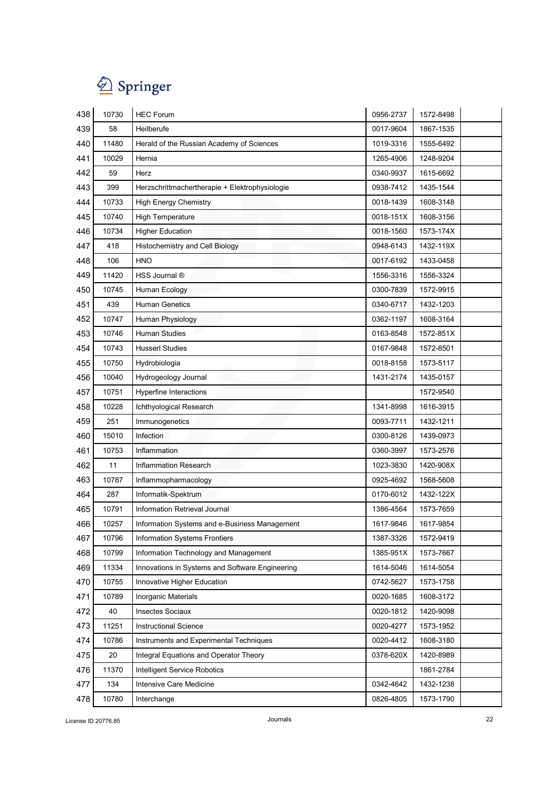

| 438 | 10730 | <b>HEC Forum</b>                                | 0956-2737 | 1572-8498 |
|-----|-------|-------------------------------------------------|-----------|-----------|
| 439 | 58    | Heilberufe                                      | 0017-9604 | 1867-1535 |
| 440 | 11480 | Herald of the Russian Academy of Sciences       | 1019-3316 | 1555-6492 |
| 441 | 10029 | Hernia                                          | 1265-4906 | 1248-9204 |
| 442 | 59    | Herz                                            | 0340-9937 | 1615-6692 |
| 443 | 399   | Herzschrittmachertherapie + Elektrophysiologie  | 0938-7412 | 1435-1544 |
| 444 | 10733 | <b>High Energy Chemistry</b>                    | 0018-1439 | 1608-3148 |
| 445 | 10740 | High Temperature                                | 0018-151X | 1608-3156 |
| 446 | 10734 | <b>Higher Education</b>                         | 0018-1560 | 1573-174X |
| 447 | 418   | Histochemistry and Cell Biology                 | 0948-6143 | 1432-119X |
| 448 | 106   | <b>HNO</b>                                      | 0017-6192 | 1433-0458 |
| 449 | 11420 | HSS Journal ®                                   | 1556-3316 | 1556-3324 |
| 450 | 10745 | Human Ecology                                   | 0300-7839 | 1572-9915 |
| 451 | 439   | <b>Human Genetics</b>                           | 0340-6717 | 1432-1203 |
| 452 | 10747 | Human Physiology                                | 0362-1197 | 1608-3164 |
| 453 | 10746 | <b>Human Studies</b>                            | 0163-8548 | 1572-851X |
| 454 | 10743 | <b>Husserl Studies</b>                          | 0167-9848 | 1572-8501 |
| 455 | 10750 | Hydrobiologia                                   | 0018-8158 | 1573-5117 |
| 456 | 10040 | Hydrogeology Journal                            | 1431-2174 | 1435-0157 |
| 457 | 10751 | Hyperfine Interactions                          |           | 1572-9540 |
| 458 | 10228 | Ichthyological Research                         | 1341-8998 | 1616-3915 |
| 459 | 251   | Immunogenetics                                  | 0093-7711 | 1432-1211 |
| 460 | 15010 | Infection                                       | 0300-8126 | 1439-0973 |
| 461 | 10753 | Inflammation                                    | 0360-3997 | 1573-2576 |
| 462 | 11    | <b>Inflammation Research</b>                    | 1023-3830 | 1420-908X |
| 463 | 10787 | Inflammopharmacology                            | 0925-4692 | 1568-5608 |
| 464 | 287   | Informatik-Spektrum                             | 0170-6012 | 1432-122X |
| 465 | 10791 | Information Retrieval Journal                   | 1386-4564 | 1573-7659 |
| 466 | 10257 | Information Systems and e-Business Management   | 1617-9846 | 1617-9854 |
| 467 | 10796 | Information Systems Frontiers                   | 1387-3326 | 1572-9419 |
| 468 | 10799 | Information Technology and Management           | 1385-951X | 1573-7667 |
| 469 | 11334 | Innovations in Systems and Software Engineering | 1614-5046 | 1614-5054 |
| 470 | 10755 | Innovative Higher Education                     | 0742-5627 | 1573-1758 |
| 471 | 10789 | Inorganic Materials                             | 0020-1685 | 1608-3172 |
| 472 | 40    | <b>Insectes Sociaux</b>                         | 0020-1812 | 1420-9098 |
| 473 | 11251 | <b>Instructional Science</b>                    | 0020-4277 | 1573-1952 |
| 474 | 10786 | Instruments and Experimental Techniques         | 0020-4412 | 1608-3180 |
| 475 | 20    | Integral Equations and Operator Theory          | 0378-620X | 1420-8989 |
| 476 | 11370 | Intelligent Service Robotics                    |           | 1861-2784 |
| 477 | 134   | Intensive Care Medicine                         | 0342-4642 | 1432-1238 |
| 478 | 10780 | Interchange                                     | 0826-4805 | 1573-1790 |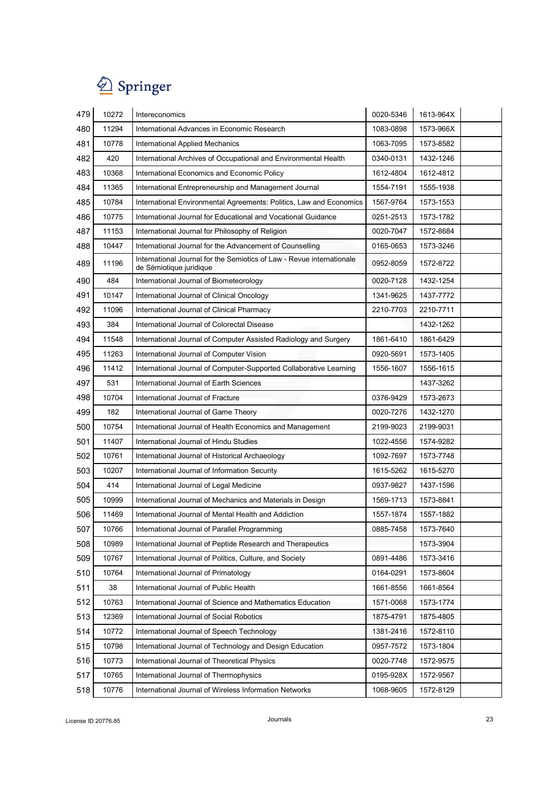

| 479 | 10272 | Intereconomics                                                                                   | 0020-5346 | 1613-964X |  |
|-----|-------|--------------------------------------------------------------------------------------------------|-----------|-----------|--|
| 480 | 11294 | International Advances in Economic Research                                                      | 1083-0898 | 1573-966X |  |
| 481 | 10778 | <b>International Applied Mechanics</b>                                                           | 1063-7095 | 1573-8582 |  |
| 482 | 420   | International Archives of Occupational and Environmental Health                                  | 0340-0131 | 1432-1246 |  |
| 483 | 10368 | International Economics and Economic Policy                                                      | 1612-4804 | 1612-4812 |  |
| 484 | 11365 | International Entrepreneurship and Management Journal                                            | 1554-7191 | 1555-1938 |  |
| 485 | 10784 | International Environmental Agreements: Politics, Law and Economics                              | 1567-9764 | 1573-1553 |  |
| 486 | 10775 | International Journal for Educational and Vocational Guidance                                    | 0251-2513 | 1573-1782 |  |
| 487 | 11153 | International Journal for Philosophy of Religion                                                 | 0020-7047 | 1572-8684 |  |
| 488 | 10447 | International Journal for the Advancement of Counselling                                         | 0165-0653 | 1573-3246 |  |
| 489 | 11196 | International Journal for the Semiotics of Law - Revue internationale<br>de Sémiotique juridique | 0952-8059 | 1572-8722 |  |
| 490 | 484   | International Journal of Biometeorology                                                          | 0020-7128 | 1432-1254 |  |
| 491 | 10147 | International Journal of Clinical Oncology                                                       | 1341-9625 | 1437-7772 |  |
| 492 | 11096 | International Journal of Clinical Pharmacy                                                       | 2210-7703 | 2210-7711 |  |
| 493 | 384   | International Journal of Colorectal Disease                                                      |           | 1432-1262 |  |
| 494 | 11548 | International Journal of Computer Assisted Radiology and Surgery                                 | 1861-6410 | 1861-6429 |  |
| 495 | 11263 | International Journal of Computer Vision                                                         | 0920-5691 | 1573-1405 |  |
| 496 | 11412 | International Journal of Computer-Supported Collaborative Learning                               | 1556-1607 | 1556-1615 |  |
| 497 | 531   | International Journal of Earth Sciences                                                          |           | 1437-3262 |  |
| 498 | 10704 | International Journal of Fracture                                                                | 0376-9429 | 1573-2673 |  |
| 499 | 182   | International Journal of Game Theory                                                             | 0020-7276 | 1432-1270 |  |
| 500 | 10754 | International Journal of Health Economics and Management                                         | 2199-9023 | 2199-9031 |  |
| 501 | 11407 | International Journal of Hindu Studies                                                           | 1022-4556 | 1574-9282 |  |
| 502 | 10761 | International Journal of Historical Archaeology                                                  | 1092-7697 | 1573-7748 |  |
| 503 | 10207 | International Journal of Information Security                                                    | 1615-5262 | 1615-5270 |  |
| 504 | 414   | International Journal of Legal Medicine                                                          | 0937-9827 | 1437-1596 |  |
| 505 | 10999 | International Journal of Mechanics and Materials in Design                                       | 1569-1713 | 1573-8841 |  |
| 506 | 11469 | International Journal of Mental Health and Addiction                                             | 1557-1874 | 1557-1882 |  |
| 507 | 10766 | International Journal of Parallel Programming                                                    | 0885-7458 | 1573-7640 |  |
| 508 | 10989 | International Journal of Peptide Research and Therapeutics                                       |           | 1573-3904 |  |
| 509 | 10767 | International Journal of Politics, Culture, and Society                                          | 0891-4486 | 1573-3416 |  |
| 510 | 10764 | International Journal of Primatology                                                             | 0164-0291 | 1573-8604 |  |
| 511 | 38    | International Journal of Public Health                                                           | 1661-8556 | 1661-8564 |  |
| 512 | 10763 | International Journal of Science and Mathematics Education                                       | 1571-0068 | 1573-1774 |  |
| 513 | 12369 | International Journal of Social Robotics                                                         | 1875-4791 | 1875-4805 |  |
| 514 | 10772 | International Journal of Speech Technology                                                       | 1381-2416 | 1572-8110 |  |
| 515 | 10798 | International Journal of Technology and Design Education                                         | 0957-7572 | 1573-1804 |  |
| 516 | 10773 | International Journal of Theoretical Physics                                                     | 0020-7748 | 1572-9575 |  |
| 517 | 10765 | International Journal of Thermophysics                                                           | 0195-928X | 1572-9567 |  |
| 518 | 10776 | International Journal of Wireless Information Networks                                           | 1068-9605 | 1572-8129 |  |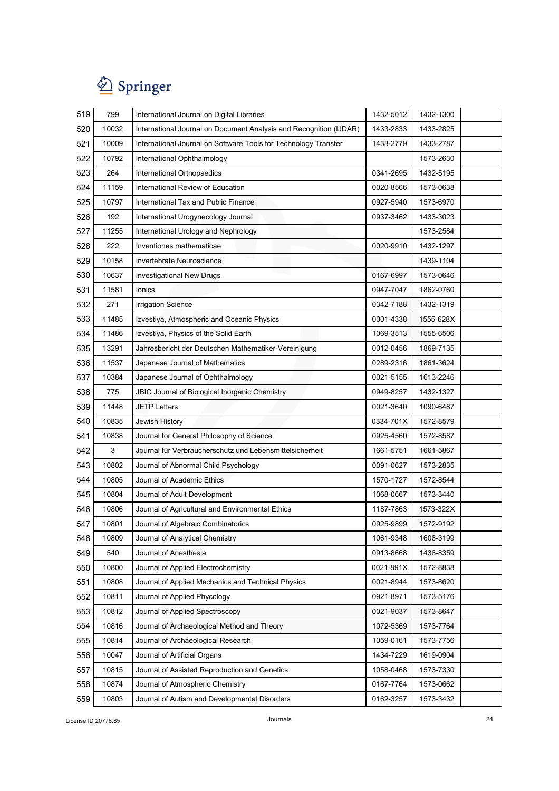| 519 | 799   | International Journal on Digital Libraries                         | 1432-5012 | 1432-1300 |  |
|-----|-------|--------------------------------------------------------------------|-----------|-----------|--|
| 520 | 10032 | International Journal on Document Analysis and Recognition (IJDAR) | 1433-2833 | 1433-2825 |  |
| 521 | 10009 | International Journal on Software Tools for Technology Transfer    | 1433-2779 | 1433-2787 |  |
| 522 | 10792 | International Ophthalmology                                        |           | 1573-2630 |  |
| 523 | 264   | International Orthopaedics                                         | 0341-2695 | 1432-5195 |  |
| 524 | 11159 | International Review of Education                                  | 0020-8566 | 1573-0638 |  |
| 525 | 10797 | International Tax and Public Finance                               | 0927-5940 | 1573-6970 |  |
| 526 | 192   | International Urogynecology Journal                                | 0937-3462 | 1433-3023 |  |
| 527 | 11255 | International Urology and Nephrology                               |           | 1573-2584 |  |
| 528 | 222   | Inventiones mathematicae                                           | 0020-9910 | 1432-1297 |  |
| 529 | 10158 | Invertebrate Neuroscience                                          |           | 1439-1104 |  |
| 530 | 10637 | <b>Investigational New Drugs</b>                                   | 0167-6997 | 1573-0646 |  |
| 531 | 11581 | Ionics                                                             | 0947-7047 | 1862-0760 |  |
| 532 | 271   | <b>Irrigation Science</b>                                          | 0342-7188 | 1432-1319 |  |
| 533 | 11485 | Izvestiya, Atmospheric and Oceanic Physics                         | 0001-4338 | 1555-628X |  |
| 534 | 11486 | Izvestiya, Physics of the Solid Earth                              | 1069-3513 | 1555-6506 |  |
| 535 | 13291 | Jahresbericht der Deutschen Mathematiker-Vereinigung               | 0012-0456 | 1869-7135 |  |
| 536 | 11537 | Japanese Journal of Mathematics                                    | 0289-2316 | 1861-3624 |  |
| 537 | 10384 | Japanese Journal of Ophthalmology                                  | 0021-5155 | 1613-2246 |  |
| 538 | 775   | JBIC Journal of Biological Inorganic Chemistry                     | 0949-8257 | 1432-1327 |  |
| 539 | 11448 | <b>JETP Letters</b>                                                | 0021-3640 | 1090-6487 |  |
| 540 | 10835 | Jewish History                                                     | 0334-701X | 1572-8579 |  |
| 541 | 10838 | Journal for General Philosophy of Science                          | 0925-4560 | 1572-8587 |  |
| 542 | 3     | Journal für Verbraucherschutz und Lebensmittelsicherheit           | 1661-5751 | 1661-5867 |  |
| 543 | 10802 | Journal of Abnormal Child Psychology                               | 0091-0627 | 1573-2835 |  |
| 544 | 10805 | Journal of Academic Ethics                                         | 1570-1727 | 1572-8544 |  |
| 545 | 10804 | Journal of Adult Development                                       | 1068-0667 | 1573-3440 |  |
| 546 | 10806 | Journal of Agricultural and Environmental Ethics                   | 1187-7863 | 1573-322X |  |
| 547 | 10801 | Journal of Algebraic Combinatorics                                 | 0925-9899 | 1572-9192 |  |
| 548 | 10809 | Journal of Analytical Chemistry                                    | 1061-9348 | 1608-3199 |  |
| 549 | 540   | Journal of Anesthesia                                              | 0913-8668 | 1438-8359 |  |
| 550 | 10800 | Journal of Applied Electrochemistry                                | 0021-891X | 1572-8838 |  |
| 551 | 10808 | Journal of Applied Mechanics and Technical Physics                 | 0021-8944 | 1573-8620 |  |
| 552 | 10811 | Journal of Applied Phycology                                       | 0921-8971 | 1573-5176 |  |
| 553 | 10812 | Journal of Applied Spectroscopy                                    | 0021-9037 | 1573-8647 |  |
| 554 | 10816 | Journal of Archaeological Method and Theory                        | 1072-5369 | 1573-7764 |  |
| 555 | 10814 | Journal of Archaeological Research                                 | 1059-0161 | 1573-7756 |  |
| 556 | 10047 | Journal of Artificial Organs                                       | 1434-7229 | 1619-0904 |  |
| 557 | 10815 | Journal of Assisted Reproduction and Genetics                      | 1058-0468 | 1573-7330 |  |
| 558 | 10874 | Journal of Atmospheric Chemistry                                   | 0167-7764 | 1573-0662 |  |
| 559 | 10803 | Journal of Autism and Developmental Disorders                      | 0162-3257 | 1573-3432 |  |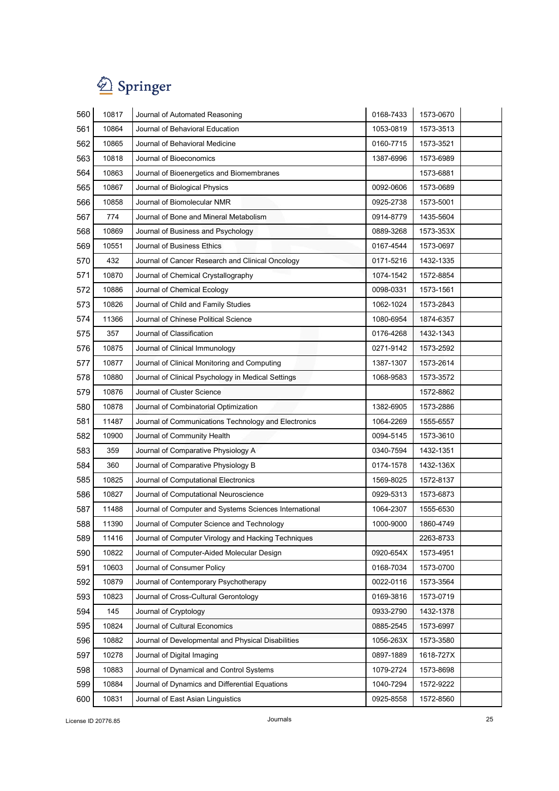| 560 | 10817 | Journal of Automated Reasoning                         | 0168-7433 | 1573-0670 |  |
|-----|-------|--------------------------------------------------------|-----------|-----------|--|
| 561 | 10864 | Journal of Behavioral Education                        | 1053-0819 | 1573-3513 |  |
| 562 | 10865 | Journal of Behavioral Medicine                         | 0160-7715 | 1573-3521 |  |
| 563 | 10818 | Journal of Bioeconomics                                | 1387-6996 | 1573-6989 |  |
| 564 | 10863 | Journal of Bioenergetics and Biomembranes              |           | 1573-6881 |  |
| 565 | 10867 | Journal of Biological Physics                          | 0092-0606 | 1573-0689 |  |
| 566 | 10858 | Journal of Biomolecular NMR                            | 0925-2738 | 1573-5001 |  |
| 567 | 774   | Journal of Bone and Mineral Metabolism                 | 0914-8779 | 1435-5604 |  |
| 568 | 10869 | Journal of Business and Psychology                     | 0889-3268 | 1573-353X |  |
| 569 | 10551 | Journal of Business Ethics                             | 0167-4544 | 1573-0697 |  |
| 570 | 432   | Journal of Cancer Research and Clinical Oncology       | 0171-5216 | 1432-1335 |  |
| 571 | 10870 | Journal of Chemical Crystallography                    | 1074-1542 | 1572-8854 |  |
| 572 | 10886 | Journal of Chemical Ecology                            | 0098-0331 | 1573-1561 |  |
| 573 | 10826 | Journal of Child and Family Studies                    | 1062-1024 | 1573-2843 |  |
| 574 | 11366 | Journal of Chinese Political Science                   | 1080-6954 | 1874-6357 |  |
| 575 | 357   | Journal of Classification                              | 0176-4268 | 1432-1343 |  |
| 576 | 10875 | Journal of Clinical Immunology                         | 0271-9142 | 1573-2592 |  |
| 577 | 10877 | Journal of Clinical Monitoring and Computing           | 1387-1307 | 1573-2614 |  |
| 578 | 10880 | Journal of Clinical Psychology in Medical Settings     | 1068-9583 | 1573-3572 |  |
| 579 | 10876 | Journal of Cluster Science                             |           | 1572-8862 |  |
| 580 | 10878 | Journal of Combinatorial Optimization                  | 1382-6905 | 1573-2886 |  |
| 581 | 11487 | Journal of Communications Technology and Electronics   | 1064-2269 | 1555-6557 |  |
| 582 | 10900 | Journal of Community Health                            | 0094-5145 | 1573-3610 |  |
| 583 | 359   | Journal of Comparative Physiology A                    | 0340-7594 | 1432-1351 |  |
| 584 | 360   | Journal of Comparative Physiology B                    | 0174-1578 | 1432-136X |  |
| 585 | 10825 | Journal of Computational Electronics                   | 1569-8025 | 1572-8137 |  |
| 586 | 10827 | Journal of Computational Neuroscience                  | 0929-5313 | 1573-6873 |  |
| 587 | 11488 | Journal of Computer and Systems Sciences International | 1064-2307 | 1555-6530 |  |
| 588 | 11390 | Journal of Computer Science and Technology             | 1000-9000 | 1860-4749 |  |
| 589 | 11416 | Journal of Computer Virology and Hacking Techniques    |           | 2263-8733 |  |
| 590 | 10822 | Journal of Computer-Aided Molecular Design             | 0920-654X | 1573-4951 |  |
| 591 | 10603 | Journal of Consumer Policy                             | 0168-7034 | 1573-0700 |  |
| 592 | 10879 | Journal of Contemporary Psychotherapy                  | 0022-0116 | 1573-3564 |  |
| 593 | 10823 | Journal of Cross-Cultural Gerontology                  | 0169-3816 | 1573-0719 |  |
| 594 | 145   | Journal of Cryptology                                  | 0933-2790 | 1432-1378 |  |
| 595 | 10824 | Journal of Cultural Economics                          | 0885-2545 | 1573-6997 |  |
| 596 | 10882 | Journal of Developmental and Physical Disabilities     | 1056-263X | 1573-3580 |  |
| 597 | 10278 | Journal of Digital Imaging                             | 0897-1889 | 1618-727X |  |
| 598 | 10883 | Journal of Dynamical and Control Systems               | 1079-2724 | 1573-8698 |  |
| 599 | 10884 | Journal of Dynamics and Differential Equations         | 1040-7294 | 1572-9222 |  |
| 600 | 10831 | Journal of East Asian Linguistics                      | 0925-8558 | 1572-8560 |  |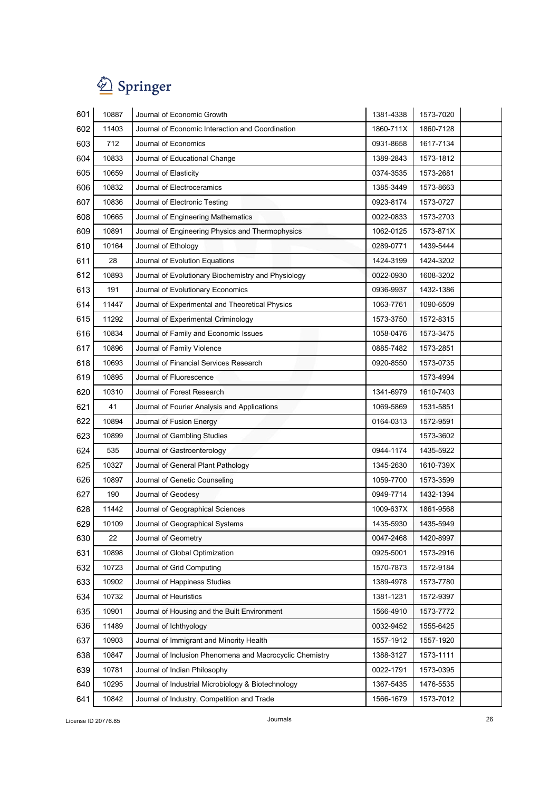| 601 | 10887 | Journal of Economic Growth                               | 1381-4338 | 1573-7020 |
|-----|-------|----------------------------------------------------------|-----------|-----------|
| 602 | 11403 | Journal of Economic Interaction and Coordination         | 1860-711X | 1860-7128 |
| 603 | 712   | Journal of Economics                                     | 0931-8658 | 1617-7134 |
| 604 | 10833 | Journal of Educational Change                            | 1389-2843 | 1573-1812 |
| 605 | 10659 | Journal of Elasticity                                    | 0374-3535 | 1573-2681 |
| 606 | 10832 | Journal of Electroceramics                               | 1385-3449 | 1573-8663 |
| 607 | 10836 | Journal of Electronic Testing                            | 0923-8174 | 1573-0727 |
| 608 | 10665 | Journal of Engineering Mathematics                       | 0022-0833 | 1573-2703 |
| 609 | 10891 | Journal of Engineering Physics and Thermophysics         | 1062-0125 | 1573-871X |
| 610 | 10164 | Journal of Ethology                                      | 0289-0771 | 1439-5444 |
| 611 | 28    | Journal of Evolution Equations                           | 1424-3199 | 1424-3202 |
| 612 | 10893 | Journal of Evolutionary Biochemistry and Physiology      | 0022-0930 | 1608-3202 |
| 613 | 191   | Journal of Evolutionary Economics                        | 0936-9937 | 1432-1386 |
| 614 | 11447 | Journal of Experimental and Theoretical Physics          | 1063-7761 | 1090-6509 |
| 615 | 11292 | Journal of Experimental Criminology                      | 1573-3750 | 1572-8315 |
| 616 | 10834 | Journal of Family and Economic Issues                    | 1058-0476 | 1573-3475 |
| 617 | 10896 | Journal of Family Violence                               | 0885-7482 | 1573-2851 |
| 618 | 10693 | Journal of Financial Services Research                   | 0920-8550 | 1573-0735 |
| 619 | 10895 | Journal of Fluorescence                                  |           | 1573-4994 |
| 620 | 10310 | Journal of Forest Research                               | 1341-6979 | 1610-7403 |
| 621 | 41    | Journal of Fourier Analysis and Applications             | 1069-5869 | 1531-5851 |
| 622 | 10894 | Journal of Fusion Energy                                 | 0164-0313 | 1572-9591 |
| 623 | 10899 | Journal of Gambling Studies                              |           | 1573-3602 |
| 624 | 535   | Journal of Gastroenterology                              | 0944-1174 | 1435-5922 |
| 625 | 10327 | Journal of General Plant Pathology                       | 1345-2630 | 1610-739X |
| 626 | 10897 | Journal of Genetic Counseling                            | 1059-7700 | 1573-3599 |
| 627 | 190   | Journal of Geodesy                                       | 0949-7714 | 1432-1394 |
| 628 | 11442 | Journal of Geographical Sciences                         | 1009-637X | 1861-9568 |
| 629 | 10109 | Journal of Geographical Systems                          | 1435-5930 | 1435-5949 |
| 630 | 22    | Journal of Geometry                                      | 0047-2468 | 1420-8997 |
| 631 | 10898 | Journal of Global Optimization                           | 0925-5001 | 1573-2916 |
| 632 | 10723 | Journal of Grid Computing                                | 1570-7873 | 1572-9184 |
| 633 | 10902 | Journal of Happiness Studies                             | 1389-4978 | 1573-7780 |
| 634 | 10732 | Journal of Heuristics                                    | 1381-1231 | 1572-9397 |
| 635 | 10901 | Journal of Housing and the Built Environment             | 1566-4910 | 1573-7772 |
| 636 | 11489 | Journal of Ichthyology                                   | 0032-9452 | 1555-6425 |
| 637 | 10903 | Journal of Immigrant and Minority Health                 | 1557-1912 | 1557-1920 |
| 638 | 10847 | Journal of Inclusion Phenomena and Macrocyclic Chemistry | 1388-3127 | 1573-1111 |
| 639 | 10781 | Journal of Indian Philosophy                             | 0022-1791 | 1573-0395 |
| 640 | 10295 | Journal of Industrial Microbiology & Biotechnology       | 1367-5435 | 1476-5535 |
| 641 | 10842 | Journal of Industry, Competition and Trade               | 1566-1679 | 1573-7012 |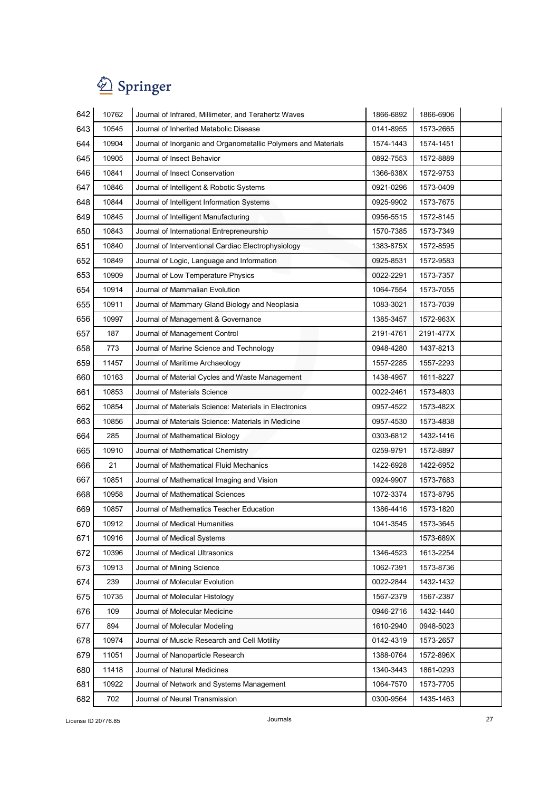| 642 | 10762 | Journal of Infrared, Millimeter, and Terahertz Waves           | 1866-6892 | 1866-6906 |  |
|-----|-------|----------------------------------------------------------------|-----------|-----------|--|
| 643 | 10545 | Journal of Inherited Metabolic Disease                         | 0141-8955 | 1573-2665 |  |
| 644 | 10904 | Journal of Inorganic and Organometallic Polymers and Materials | 1574-1443 | 1574-1451 |  |
| 645 | 10905 | Journal of Insect Behavior                                     | 0892-7553 | 1572-8889 |  |
| 646 | 10841 | Journal of Insect Conservation                                 | 1366-638X | 1572-9753 |  |
| 647 | 10846 | Journal of Intelligent & Robotic Systems                       | 0921-0296 | 1573-0409 |  |
| 648 | 10844 | Journal of Intelligent Information Systems                     | 0925-9902 | 1573-7675 |  |
| 649 | 10845 | Journal of Intelligent Manufacturing                           | 0956-5515 | 1572-8145 |  |
| 650 | 10843 | Journal of International Entrepreneurship                      | 1570-7385 | 1573-7349 |  |
| 651 | 10840 | Journal of Interventional Cardiac Electrophysiology            | 1383-875X | 1572-8595 |  |
| 652 | 10849 | Journal of Logic, Language and Information                     | 0925-8531 | 1572-9583 |  |
| 653 | 10909 | Journal of Low Temperature Physics                             | 0022-2291 | 1573-7357 |  |
| 654 | 10914 | Journal of Mammalian Evolution                                 | 1064-7554 | 1573-7055 |  |
| 655 | 10911 | Journal of Mammary Gland Biology and Neoplasia                 | 1083-3021 | 1573-7039 |  |
| 656 | 10997 | Journal of Management & Governance                             | 1385-3457 | 1572-963X |  |
| 657 | 187   | Journal of Management Control                                  | 2191-4761 | 2191-477X |  |
| 658 | 773   | Journal of Marine Science and Technology                       | 0948-4280 | 1437-8213 |  |
| 659 | 11457 | Journal of Maritime Archaeology                                | 1557-2285 | 1557-2293 |  |
| 660 | 10163 | Journal of Material Cycles and Waste Management                | 1438-4957 | 1611-8227 |  |
| 661 | 10853 | Journal of Materials Science                                   | 0022-2461 | 1573-4803 |  |
| 662 | 10854 | Journal of Materials Science: Materials in Electronics         | 0957-4522 | 1573-482X |  |
| 663 | 10856 | Journal of Materials Science: Materials in Medicine            | 0957-4530 | 1573-4838 |  |
| 664 | 285   | Journal of Mathematical Biology                                | 0303-6812 | 1432-1416 |  |
| 665 | 10910 | Journal of Mathematical Chemistry                              | 0259-9791 | 1572-8897 |  |
| 666 | 21    | Journal of Mathematical Fluid Mechanics                        | 1422-6928 | 1422-6952 |  |
| 667 | 10851 | Journal of Mathematical Imaging and Vision                     | 0924-9907 | 1573-7683 |  |
| 668 | 10958 | Journal of Mathematical Sciences                               | 1072-3374 | 1573-8795 |  |
| 669 | 10857 | Journal of Mathematics Teacher Education                       | 1386-4416 | 1573-1820 |  |
| 670 | 10912 | Journal of Medical Humanities                                  | 1041-3545 | 1573-3645 |  |
| 671 | 10916 | Journal of Medical Systems                                     |           | 1573-689X |  |
| 672 | 10396 | Journal of Medical Ultrasonics                                 | 1346-4523 | 1613-2254 |  |
| 673 | 10913 | Journal of Mining Science                                      | 1062-7391 | 1573-8736 |  |
| 674 | 239   | Journal of Molecular Evolution                                 | 0022-2844 | 1432-1432 |  |
| 675 | 10735 | Journal of Molecular Histology                                 | 1567-2379 | 1567-2387 |  |
| 676 | 109   | Journal of Molecular Medicine                                  | 0946-2716 | 1432-1440 |  |
| 677 | 894   | Journal of Molecular Modeling                                  | 1610-2940 | 0948-5023 |  |
| 678 | 10974 | Journal of Muscle Research and Cell Motility                   | 0142-4319 | 1573-2657 |  |
| 679 | 11051 | Journal of Nanoparticle Research                               | 1388-0764 | 1572-896X |  |
| 680 | 11418 | Journal of Natural Medicines                                   | 1340-3443 | 1861-0293 |  |
| 681 | 10922 | Journal of Network and Systems Management                      | 1064-7570 | 1573-7705 |  |
| 682 | 702   | Journal of Neural Transmission                                 | 0300-9564 | 1435-1463 |  |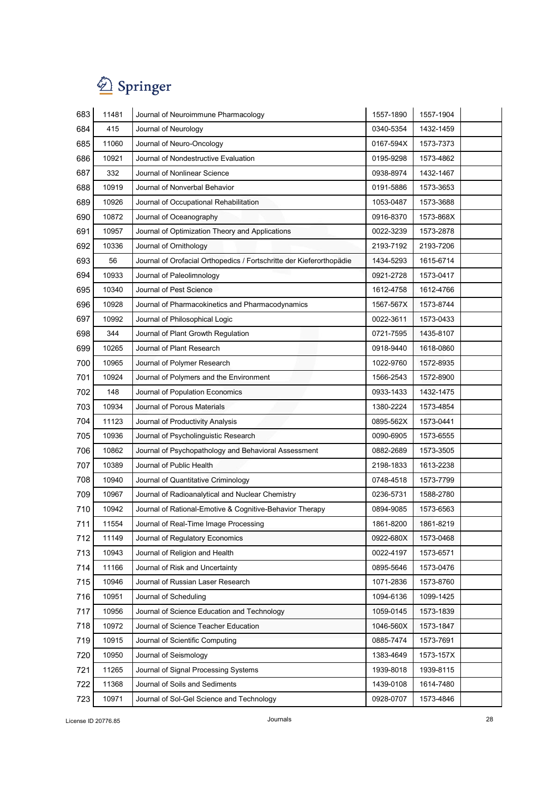| 683 | 11481 | Journal of Neuroimmune Pharmacology                                  | 1557-1890 | 1557-1904 |  |
|-----|-------|----------------------------------------------------------------------|-----------|-----------|--|
| 684 | 415   | Journal of Neurology                                                 | 0340-5354 | 1432-1459 |  |
| 685 | 11060 | Journal of Neuro-Oncology                                            | 0167-594X | 1573-7373 |  |
| 686 | 10921 | Journal of Nondestructive Evaluation                                 | 0195-9298 | 1573-4862 |  |
| 687 | 332   | Journal of Nonlinear Science                                         | 0938-8974 | 1432-1467 |  |
| 688 | 10919 | Journal of Nonverbal Behavior                                        | 0191-5886 | 1573-3653 |  |
| 689 | 10926 | Journal of Occupational Rehabilitation                               | 1053-0487 | 1573-3688 |  |
| 690 | 10872 | Journal of Oceanography                                              | 0916-8370 | 1573-868X |  |
| 691 | 10957 | Journal of Optimization Theory and Applications                      | 0022-3239 | 1573-2878 |  |
| 692 | 10336 | Journal of Ornithology                                               | 2193-7192 | 2193-7206 |  |
| 693 | 56    | Journal of Orofacial Orthopedics / Fortschritte der Kieferorthopädie | 1434-5293 | 1615-6714 |  |
| 694 | 10933 | Journal of Paleolimnology                                            | 0921-2728 | 1573-0417 |  |
| 695 | 10340 | Journal of Pest Science                                              | 1612-4758 | 1612-4766 |  |
| 696 | 10928 | Journal of Pharmacokinetics and Pharmacodynamics                     | 1567-567X | 1573-8744 |  |
| 697 | 10992 | Journal of Philosophical Logic                                       | 0022-3611 | 1573-0433 |  |
| 698 | 344   | Journal of Plant Growth Regulation                                   | 0721-7595 | 1435-8107 |  |
| 699 | 10265 | Journal of Plant Research                                            | 0918-9440 | 1618-0860 |  |
| 700 | 10965 | Journal of Polymer Research                                          | 1022-9760 | 1572-8935 |  |
| 701 | 10924 | Journal of Polymers and the Environment                              | 1566-2543 | 1572-8900 |  |
| 702 | 148   | Journal of Population Economics                                      | 0933-1433 | 1432-1475 |  |
| 703 | 10934 | Journal of Porous Materials                                          | 1380-2224 | 1573-4854 |  |
| 704 | 11123 | Journal of Productivity Analysis                                     | 0895-562X | 1573-0441 |  |
| 705 | 10936 | Journal of Psycholinguistic Research                                 | 0090-6905 | 1573-6555 |  |
| 706 | 10862 | Journal of Psychopathology and Behavioral Assessment                 | 0882-2689 | 1573-3505 |  |
| 707 | 10389 | Journal of Public Health                                             | 2198-1833 | 1613-2238 |  |
| 708 | 10940 | Journal of Quantitative Criminology                                  | 0748-4518 | 1573-7799 |  |
| 709 | 10967 | Journal of Radioanalytical and Nuclear Chemistry                     | 0236-5731 | 1588-2780 |  |
| 710 | 10942 | Journal of Rational-Emotive & Cognitive-Behavior Therapy             | 0894-9085 | 1573-6563 |  |
| 711 | 11554 | Journal of Real-Time Image Processing                                | 1861-8200 | 1861-8219 |  |
| 712 | 11149 | Journal of Regulatory Economics                                      | 0922-680X | 1573-0468 |  |
| 713 | 10943 | Journal of Religion and Health                                       | 0022-4197 | 1573-6571 |  |
| 714 | 11166 | Journal of Risk and Uncertainty                                      | 0895-5646 | 1573-0476 |  |
| 715 | 10946 | Journal of Russian Laser Research                                    | 1071-2836 | 1573-8760 |  |
| 716 | 10951 | Journal of Scheduling                                                | 1094-6136 | 1099-1425 |  |
| 717 | 10956 | Journal of Science Education and Technology                          | 1059-0145 | 1573-1839 |  |
| 718 | 10972 | Journal of Science Teacher Education                                 | 1046-560X | 1573-1847 |  |
| 719 | 10915 | Journal of Scientific Computing                                      | 0885-7474 | 1573-7691 |  |
| 720 | 10950 | Journal of Seismology                                                | 1383-4649 | 1573-157X |  |
| 721 | 11265 | Journal of Signal Processing Systems                                 | 1939-8018 | 1939-8115 |  |
| 722 | 11368 | Journal of Soils and Sediments                                       | 1439-0108 | 1614-7480 |  |
| 723 | 10971 | Journal of Sol-Gel Science and Technology                            | 0928-0707 | 1573-4846 |  |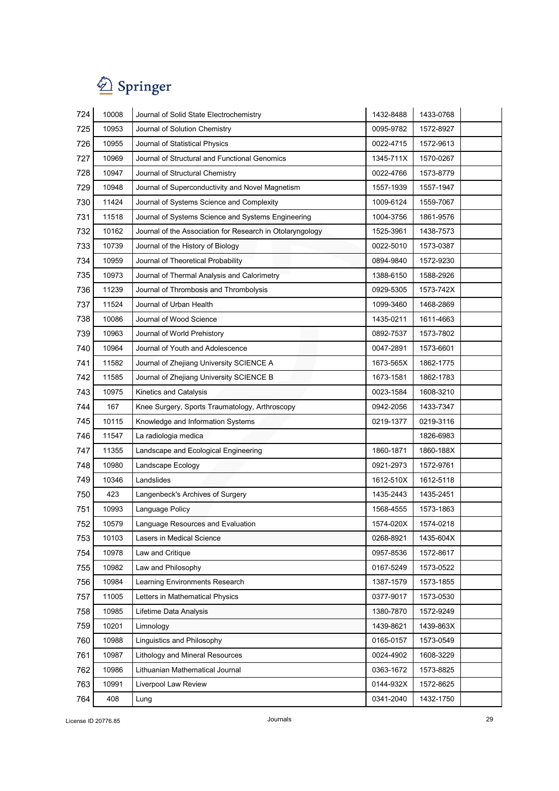| 724 | 10008 | Journal of Solid State Electrochemistry                   | 1432-8488 | 1433-0768 |
|-----|-------|-----------------------------------------------------------|-----------|-----------|
| 725 | 10953 | Journal of Solution Chemistry                             | 0095-9782 | 1572-8927 |
| 726 | 10955 | Journal of Statistical Physics                            | 0022-4715 | 1572-9613 |
| 727 | 10969 | Journal of Structural and Functional Genomics             | 1345-711X | 1570-0267 |
| 728 | 10947 | Journal of Structural Chemistry                           | 0022-4766 | 1573-8779 |
| 729 | 10948 | Journal of Superconductivity and Novel Magnetism          | 1557-1939 | 1557-1947 |
| 730 | 11424 | Journal of Systems Science and Complexity                 | 1009-6124 | 1559-7067 |
| 731 | 11518 | Journal of Systems Science and Systems Engineering        | 1004-3756 | 1861-9576 |
| 732 | 10162 | Journal of the Association for Research in Otolaryngology | 1525-3961 | 1438-7573 |
| 733 | 10739 | Journal of the History of Biology                         | 0022-5010 | 1573-0387 |
| 734 | 10959 | Journal of Theoretical Probability                        | 0894-9840 | 1572-9230 |
| 735 | 10973 | Journal of Thermal Analysis and Calorimetry               | 1388-6150 | 1588-2926 |
| 736 | 11239 | Journal of Thrombosis and Thrombolysis                    | 0929-5305 | 1573-742X |
| 737 | 11524 | Journal of Urban Health                                   | 1099-3460 | 1468-2869 |
| 738 | 10086 | Journal of Wood Science                                   | 1435-0211 | 1611-4663 |
| 739 | 10963 | Journal of World Prehistory                               | 0892-7537 | 1573-7802 |
| 740 | 10964 | Journal of Youth and Adolescence                          | 0047-2891 | 1573-6601 |
| 741 | 11582 | Journal of Zhejiang University SCIENCE A                  | 1673-565X | 1862-1775 |
| 742 | 11585 | Journal of Zhejiang University SCIENCE B                  | 1673-1581 | 1862-1783 |
| 743 | 10975 | Kinetics and Catalysis                                    | 0023-1584 | 1608-3210 |
| 744 | 167   | Knee Surgery, Sports Traumatology, Arthroscopy            | 0942-2056 | 1433-7347 |
| 745 | 10115 | Knowledge and Information Systems                         | 0219-1377 | 0219-3116 |
| 746 | 11547 | La radiologia medica                                      |           | 1826-6983 |
| 747 | 11355 | Landscape and Ecological Engineering                      | 1860-1871 | 1860-188X |
| 748 | 10980 | Landscape Ecology                                         | 0921-2973 | 1572-9761 |
| 749 | 10346 | Landslides                                                | 1612-510X | 1612-5118 |
| 750 | 423   | Langenbeck's Archives of Surgery                          | 1435-2443 | 1435-2451 |
| 751 | 10993 | Language Policy                                           | 1568-4555 | 1573-1863 |
| 752 | 10579 | Language Resources and Evaluation                         | 1574-020X | 1574-0218 |
| 753 | 10103 | Lasers in Medical Science                                 | 0268-8921 | 1435-604X |
| 754 | 10978 | Law and Critique                                          | 0957-8536 | 1572-8617 |
| 755 | 10982 | Law and Philosophy                                        | 0167-5249 | 1573-0522 |
| 756 | 10984 | Learning Environments Research                            | 1387-1579 | 1573-1855 |
| 757 | 11005 | Letters in Mathematical Physics                           | 0377-9017 | 1573-0530 |
| 758 | 10985 | Lifetime Data Analysis                                    | 1380-7870 | 1572-9249 |
| 759 | 10201 | Limnology                                                 | 1439-8621 | 1439-863X |
| 760 | 10988 | Linguistics and Philosophy                                | 0165-0157 | 1573-0549 |
| 761 | 10987 | Lithology and Mineral Resources                           | 0024-4902 | 1608-3229 |
| 762 | 10986 | Lithuanian Mathematical Journal                           | 0363-1672 | 1573-8825 |
| 763 | 10991 | Liverpool Law Review                                      | 0144-932X | 1572-8625 |
| 764 | 408   | Lung                                                      | 0341-2040 | 1432-1750 |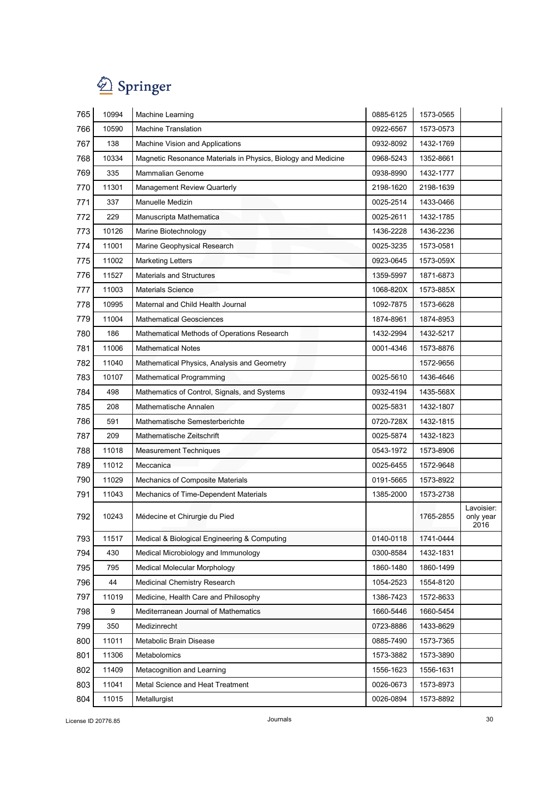

| 765 | 10994 | <b>Machine Learning</b>                                       | 0885-6125 | 1573-0565 |                                 |
|-----|-------|---------------------------------------------------------------|-----------|-----------|---------------------------------|
| 766 | 10590 | <b>Machine Translation</b>                                    | 0922-6567 | 1573-0573 |                                 |
| 767 | 138   | Machine Vision and Applications                               | 0932-8092 | 1432-1769 |                                 |
| 768 | 10334 | Magnetic Resonance Materials in Physics, Biology and Medicine | 0968-5243 | 1352-8661 |                                 |
| 769 | 335   | <b>Mammalian Genome</b>                                       | 0938-8990 | 1432-1777 |                                 |
| 770 | 11301 | <b>Management Review Quarterly</b>                            | 2198-1620 | 2198-1639 |                                 |
| 771 | 337   | Manuelle Medizin                                              | 0025-2514 | 1433-0466 |                                 |
| 772 | 229   | Manuscripta Mathematica                                       | 0025-2611 | 1432-1785 |                                 |
| 773 | 10126 | Marine Biotechnology                                          | 1436-2228 | 1436-2236 |                                 |
| 774 | 11001 | Marine Geophysical Research                                   | 0025-3235 | 1573-0581 |                                 |
| 775 | 11002 | <b>Marketing Letters</b>                                      | 0923-0645 | 1573-059X |                                 |
| 776 | 11527 | <b>Materials and Structures</b>                               | 1359-5997 | 1871-6873 |                                 |
| 777 | 11003 | <b>Materials Science</b>                                      | 1068-820X | 1573-885X |                                 |
| 778 | 10995 | Maternal and Child Health Journal                             | 1092-7875 | 1573-6628 |                                 |
| 779 | 11004 | <b>Mathematical Geosciences</b>                               | 1874-8961 | 1874-8953 |                                 |
| 780 | 186   | Mathematical Methods of Operations Research                   | 1432-2994 | 1432-5217 |                                 |
| 781 | 11006 | <b>Mathematical Notes</b>                                     | 0001-4346 | 1573-8876 |                                 |
| 782 | 11040 | Mathematical Physics, Analysis and Geometry                   |           | 1572-9656 |                                 |
| 783 | 10107 | <b>Mathematical Programming</b>                               | 0025-5610 | 1436-4646 |                                 |
| 784 | 498   | Mathematics of Control, Signals, and Systems                  | 0932-4194 | 1435-568X |                                 |
| 785 | 208   | Mathematische Annalen                                         | 0025-5831 | 1432-1807 |                                 |
| 786 | 591   | Mathematische Semesterberichte                                | 0720-728X | 1432-1815 |                                 |
| 787 | 209   | Mathematische Zeitschrift                                     | 0025-5874 | 1432-1823 |                                 |
| 788 | 11018 | <b>Measurement Techniques</b>                                 | 0543-1972 | 1573-8906 |                                 |
| 789 | 11012 | Meccanica                                                     | 0025-6455 | 1572-9648 |                                 |
| 790 | 11029 | Mechanics of Composite Materials                              | 0191-5665 | 1573-8922 |                                 |
| 791 | 11043 | Mechanics of Time-Dependent Materials                         | 1385-2000 | 1573-2738 |                                 |
| 792 | 10243 | Médecine et Chirurgie du Pied                                 |           | 1765-2855 | Lavoisier:<br>only year<br>2016 |
| 793 | 11517 | Medical & Biological Engineering & Computing                  | 0140-0118 | 1741-0444 |                                 |
| 794 | 430   | Medical Microbiology and Immunology                           | 0300-8584 | 1432-1831 |                                 |
| 795 | 795   | Medical Molecular Morphology                                  | 1860-1480 | 1860-1499 |                                 |
| 796 | 44    | Medicinal Chemistry Research                                  | 1054-2523 | 1554-8120 |                                 |
| 797 | 11019 | Medicine, Health Care and Philosophy                          | 1386-7423 | 1572-8633 |                                 |
| 798 | 9     | Mediterranean Journal of Mathematics                          | 1660-5446 | 1660-5454 |                                 |
| 799 | 350   | Medizinrecht                                                  | 0723-8886 | 1433-8629 |                                 |
| 800 | 11011 | Metabolic Brain Disease                                       | 0885-7490 | 1573-7365 |                                 |
| 801 | 11306 | Metabolomics                                                  | 1573-3882 | 1573-3890 |                                 |
| 802 | 11409 | Metacognition and Learning                                    | 1556-1623 | 1556-1631 |                                 |
| 803 | 11041 | Metal Science and Heat Treatment                              | 0026-0673 | 1573-8973 |                                 |
| 804 | 11015 | Metallurgist                                                  | 0026-0894 | 1573-8892 |                                 |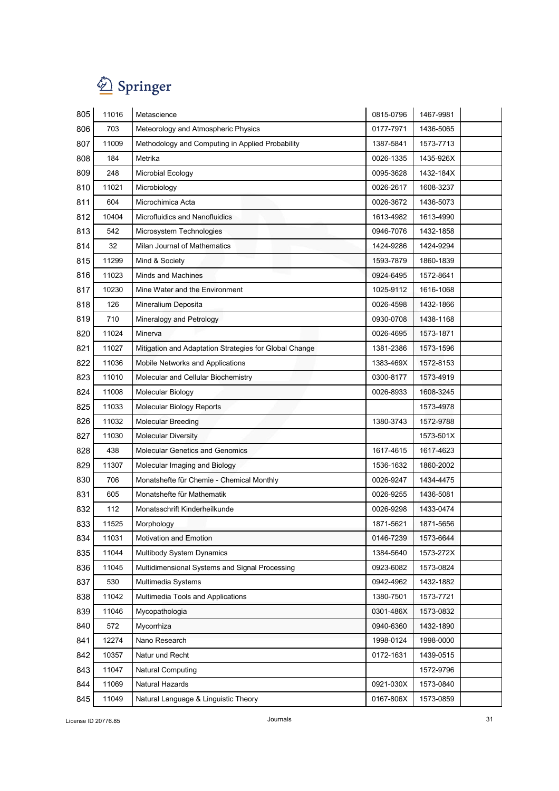

| 805 | 11016 | Metascience                                            | 0815-0796 | 1467-9981 |
|-----|-------|--------------------------------------------------------|-----------|-----------|
| 806 | 703   | Meteorology and Atmospheric Physics                    | 0177-7971 | 1436-5065 |
| 807 | 11009 | Methodology and Computing in Applied Probability       | 1387-5841 | 1573-7713 |
| 808 | 184   | Metrika                                                | 0026-1335 | 1435-926X |
| 809 | 248   | Microbial Ecology                                      | 0095-3628 | 1432-184X |
| 810 | 11021 | Microbiology                                           | 0026-2617 | 1608-3237 |
| 811 | 604   | Microchimica Acta                                      | 0026-3672 | 1436-5073 |
| 812 | 10404 | Microfluidics and Nanofluidics                         | 1613-4982 | 1613-4990 |
| 813 | 542   | Microsystem Technologies                               | 0946-7076 | 1432-1858 |
| 814 | 32    | Milan Journal of Mathematics                           | 1424-9286 | 1424-9294 |
| 815 | 11299 | Mind & Society                                         | 1593-7879 | 1860-1839 |
| 816 | 11023 | <b>Minds and Machines</b>                              | 0924-6495 | 1572-8641 |
| 817 | 10230 | Mine Water and the Environment                         | 1025-9112 | 1616-1068 |
| 818 | 126   | Mineralium Deposita                                    | 0026-4598 | 1432-1866 |
| 819 | 710   | Mineralogy and Petrology                               | 0930-0708 | 1438-1168 |
| 820 | 11024 | Minerva                                                | 0026-4695 | 1573-1871 |
| 821 | 11027 | Mitigation and Adaptation Strategies for Global Change | 1381-2386 | 1573-1596 |
| 822 | 11036 | Mobile Networks and Applications                       | 1383-469X | 1572-8153 |
| 823 | 11010 | Molecular and Cellular Biochemistry                    | 0300-8177 | 1573-4919 |
| 824 | 11008 | Molecular Biology                                      | 0026-8933 | 1608-3245 |
| 825 | 11033 | <b>Molecular Biology Reports</b>                       |           | 1573-4978 |
| 826 | 11032 | <b>Molecular Breeding</b>                              | 1380-3743 | 1572-9788 |
| 827 | 11030 | <b>Molecular Diversity</b>                             |           | 1573-501X |
| 828 | 438   | <b>Molecular Genetics and Genomics</b>                 | 1617-4615 | 1617-4623 |
| 829 | 11307 | Molecular Imaging and Biology                          | 1536-1632 | 1860-2002 |
| 830 | 706   | Monatshefte für Chemie - Chemical Monthly              | 0026-9247 | 1434-4475 |
| 831 | 605   | Monatshefte für Mathematik                             | 0026-9255 | 1436-5081 |
| 832 | 112   | Monatsschrift Kinderheilkunde                          | 0026-9298 | 1433-0474 |
| 833 | 11525 | Morphology                                             | 1871-5621 | 1871-5656 |
| 834 | 11031 | Motivation and Emotion                                 | 0146-7239 | 1573-6644 |
| 835 | 11044 | Multibody System Dynamics                              | 1384-5640 | 1573-272X |
| 836 | 11045 | Multidimensional Systems and Signal Processing         | 0923-6082 | 1573-0824 |
| 837 | 530   | Multimedia Systems                                     | 0942-4962 | 1432-1882 |
| 838 | 11042 | Multimedia Tools and Applications                      | 1380-7501 | 1573-7721 |
| 839 | 11046 | Mycopathologia                                         | 0301-486X | 1573-0832 |
| 840 | 572   | Mycorrhiza                                             | 0940-6360 | 1432-1890 |
| 841 | 12274 | Nano Research                                          | 1998-0124 | 1998-0000 |
| 842 | 10357 | Natur und Recht                                        | 0172-1631 | 1439-0515 |
| 843 | 11047 | Natural Computing                                      |           | 1572-9796 |
| 844 | 11069 | Natural Hazards                                        | 0921-030X | 1573-0840 |
| 845 | 11049 | Natural Language & Linguistic Theory                   | 0167-806X | 1573-0859 |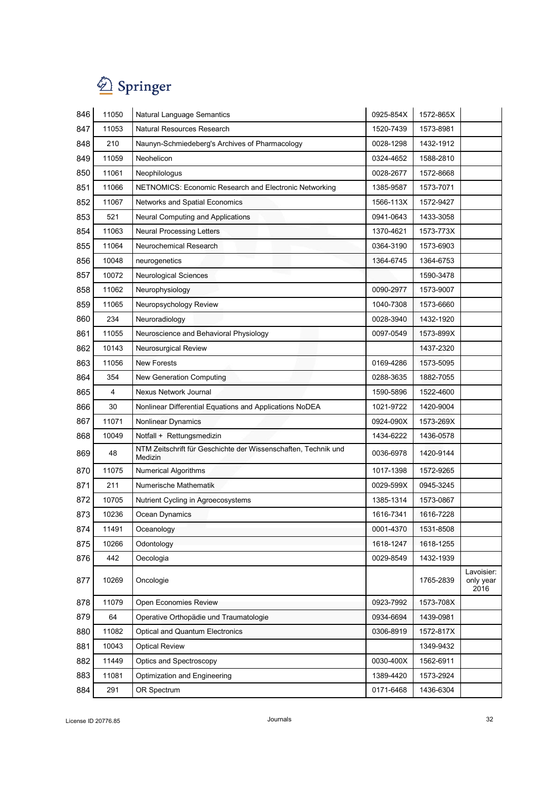# $\bigotimes$  Springer

| 846 | 11050 | Natural Language Semantics                                                | 0925-854X | 1572-865X |                                 |
|-----|-------|---------------------------------------------------------------------------|-----------|-----------|---------------------------------|
| 847 | 11053 | Natural Resources Research                                                | 1520-7439 | 1573-8981 |                                 |
| 848 | 210   | Naunyn-Schmiedeberg's Archives of Pharmacology                            | 0028-1298 | 1432-1912 |                                 |
| 849 | 11059 | Neohelicon                                                                | 0324-4652 | 1588-2810 |                                 |
| 850 | 11061 | Neophilologus                                                             | 0028-2677 | 1572-8668 |                                 |
| 851 | 11066 | NETNOMICS: Economic Research and Electronic Networking                    | 1385-9587 | 1573-7071 |                                 |
| 852 | 11067 | Networks and Spatial Economics                                            | 1566-113X | 1572-9427 |                                 |
| 853 | 521   | Neural Computing and Applications                                         | 0941-0643 | 1433-3058 |                                 |
| 854 | 11063 | Neural Processing Letters                                                 | 1370-4621 | 1573-773X |                                 |
| 855 | 11064 | Neurochemical Research                                                    | 0364-3190 | 1573-6903 |                                 |
| 856 | 10048 | neurogenetics                                                             | 1364-6745 | 1364-6753 |                                 |
| 857 | 10072 | Neurological Sciences                                                     |           | 1590-3478 |                                 |
| 858 | 11062 | Neurophysiology                                                           | 0090-2977 | 1573-9007 |                                 |
| 859 | 11065 | Neuropsychology Review                                                    | 1040-7308 | 1573-6660 |                                 |
| 860 | 234   | Neuroradiology                                                            | 0028-3940 | 1432-1920 |                                 |
| 861 | 11055 | Neuroscience and Behavioral Physiology                                    | 0097-0549 | 1573-899X |                                 |
| 862 | 10143 | Neurosurgical Review                                                      |           | 1437-2320 |                                 |
| 863 | 11056 | <b>New Forests</b>                                                        | 0169-4286 | 1573-5095 |                                 |
| 864 | 354   | New Generation Computing                                                  | 0288-3635 | 1882-7055 |                                 |
| 865 | 4     | <b>Nexus Network Journal</b>                                              | 1590-5896 | 1522-4600 |                                 |
| 866 | 30    | Nonlinear Differential Equations and Applications NoDEA                   | 1021-9722 | 1420-9004 |                                 |
| 867 | 11071 | Nonlinear Dynamics                                                        | 0924-090X | 1573-269X |                                 |
| 868 | 10049 | Notfall + Rettungsmedizin                                                 | 1434-6222 | 1436-0578 |                                 |
| 869 | 48    | NTM Zeitschrift für Geschichte der Wissenschaften, Technik und<br>Medizin | 0036-6978 | 1420-9144 |                                 |
| 870 | 11075 | <b>Numerical Algorithms</b>                                               | 1017-1398 | 1572-9265 |                                 |
| 871 | 211   | Numerische Mathematik                                                     | 0029-599X | 0945-3245 |                                 |
| 872 | 10705 | Nutrient Cycling in Agroecosystems                                        | 1385-1314 | 1573-0867 |                                 |
| 873 | 10236 | Ocean Dynamics                                                            | 1616-7341 | 1616-7228 |                                 |
| 874 | 11491 | Oceanology                                                                | 0001-4370 | 1531-8508 |                                 |
| 875 | 10266 | Odontology                                                                | 1618-1247 | 1618-1255 |                                 |
| 876 | 442   | Oecologia                                                                 | 0029-8549 | 1432-1939 |                                 |
| 877 | 10269 | Oncologie                                                                 |           | 1765-2839 | Lavoisier:<br>only year<br>2016 |
| 878 | 11079 | Open Economies Review                                                     | 0923-7992 | 1573-708X |                                 |
| 879 | 64    | Operative Orthopädie und Traumatologie                                    | 0934-6694 | 1439-0981 |                                 |
| 880 | 11082 | <b>Optical and Quantum Electronics</b>                                    | 0306-8919 | 1572-817X |                                 |
| 881 | 10043 | <b>Optical Review</b>                                                     |           | 1349-9432 |                                 |
| 882 | 11449 | Optics and Spectroscopy                                                   | 0030-400X | 1562-6911 |                                 |
| 883 | 11081 | Optimization and Engineering                                              | 1389-4420 | 1573-2924 |                                 |
| 884 | 291   | OR Spectrum                                                               | 0171-6468 | 1436-6304 |                                 |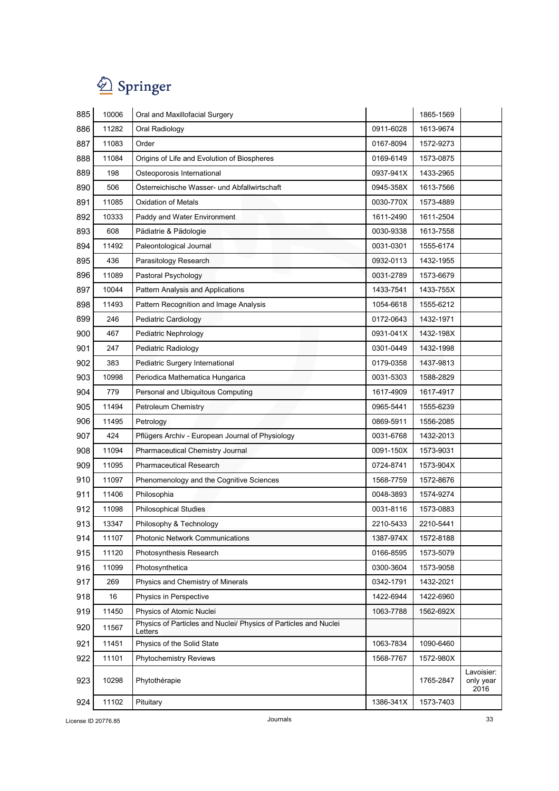

| 885 | 10006 | Oral and Maxillofacial Surgery                                              |           | 1865-1569 |                                 |
|-----|-------|-----------------------------------------------------------------------------|-----------|-----------|---------------------------------|
| 886 | 11282 | Oral Radiology                                                              | 0911-6028 | 1613-9674 |                                 |
| 887 | 11083 | Order                                                                       | 0167-8094 | 1572-9273 |                                 |
| 888 | 11084 | Origins of Life and Evolution of Biospheres                                 | 0169-6149 | 1573-0875 |                                 |
| 889 | 198   | Osteoporosis International                                                  | 0937-941X | 1433-2965 |                                 |
| 890 | 506   | Österreichische Wasser- und Abfallwirtschaft                                | 0945-358X | 1613-7566 |                                 |
| 891 | 11085 | <b>Oxidation of Metals</b>                                                  | 0030-770X | 1573-4889 |                                 |
| 892 | 10333 | Paddy and Water Environment                                                 | 1611-2490 | 1611-2504 |                                 |
| 893 | 608   | Pädiatrie & Pädologie                                                       | 0030-9338 | 1613-7558 |                                 |
| 894 | 11492 | Paleontological Journal                                                     | 0031-0301 | 1555-6174 |                                 |
| 895 | 436   | Parasitology Research                                                       | 0932-0113 | 1432-1955 |                                 |
| 896 | 11089 | Pastoral Psychology                                                         | 0031-2789 | 1573-6679 |                                 |
| 897 | 10044 | Pattern Analysis and Applications                                           | 1433-7541 | 1433-755X |                                 |
| 898 | 11493 | Pattern Recognition and Image Analysis                                      | 1054-6618 | 1555-6212 |                                 |
| 899 | 246   | Pediatric Cardiology                                                        | 0172-0643 | 1432-1971 |                                 |
| 900 | 467   | <b>Pediatric Nephrology</b>                                                 | 0931-041X | 1432-198X |                                 |
| 901 | 247   | Pediatric Radiology                                                         | 0301-0449 | 1432-1998 |                                 |
| 902 | 383   | Pediatric Surgery International                                             | 0179-0358 | 1437-9813 |                                 |
| 903 | 10998 | Periodica Mathematica Hungarica                                             | 0031-5303 | 1588-2829 |                                 |
| 904 | 779   | Personal and Ubiquitous Computing                                           | 1617-4909 | 1617-4917 |                                 |
| 905 | 11494 | Petroleum Chemistry                                                         | 0965-5441 | 1555-6239 |                                 |
| 906 | 11495 | Petrology                                                                   | 0869-5911 | 1556-2085 |                                 |
| 907 | 424   | Pflügers Archiv - European Journal of Physiology                            | 0031-6768 | 1432-2013 |                                 |
| 908 | 11094 | Pharmaceutical Chemistry Journal                                            | 0091-150X | 1573-9031 |                                 |
| 909 | 11095 | <b>Pharmaceutical Research</b>                                              | 0724-8741 | 1573-904X |                                 |
| 910 | 11097 | Phenomenology and the Cognitive Sciences                                    | 1568-7759 | 1572-8676 |                                 |
| 911 | 11406 | Philosophia                                                                 | 0048-3893 | 1574-9274 |                                 |
| 912 | 11098 | <b>Philosophical Studies</b>                                                | 0031-8116 | 1573-0883 |                                 |
| 913 | 13347 | Philosophy & Technology                                                     | 2210-5433 | 2210-5441 |                                 |
| 914 | 11107 | <b>Photonic Network Communications</b>                                      | 1387-974X | 1572-8188 |                                 |
| 915 | 11120 | Photosynthesis Research                                                     | 0166-8595 | 1573-5079 |                                 |
| 916 | 11099 | Photosynthetica                                                             | 0300-3604 | 1573-9058 |                                 |
| 917 | 269   | Physics and Chemistry of Minerals                                           | 0342-1791 | 1432-2021 |                                 |
| 918 | 16    | Physics in Perspective                                                      | 1422-6944 | 1422-6960 |                                 |
| 919 | 11450 | Physics of Atomic Nuclei                                                    | 1063-7788 | 1562-692X |                                 |
| 920 | 11567 | Physics of Particles and Nuclei/ Physics of Particles and Nuclei<br>Letters |           |           |                                 |
| 921 | 11451 | Physics of the Solid State                                                  | 1063-7834 | 1090-6460 |                                 |
| 922 | 11101 | Phytochemistry Reviews                                                      | 1568-7767 | 1572-980X |                                 |
| 923 | 10298 | Phytothérapie                                                               |           | 1765-2847 | Lavoisier:<br>only year<br>2016 |
| 924 | 11102 | Pituitary                                                                   | 1386-341X | 1573-7403 |                                 |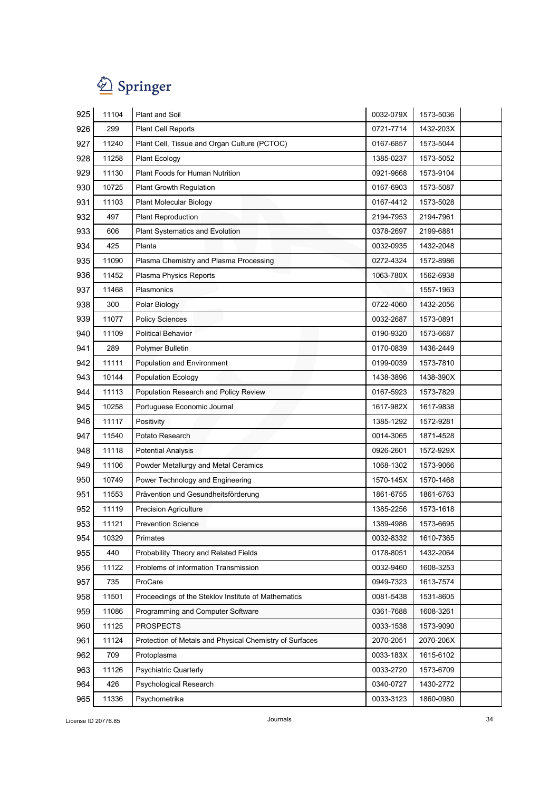

| 925 | 11104 | Plant and Soil                                          | 0032-079X | 1573-5036 |
|-----|-------|---------------------------------------------------------|-----------|-----------|
| 926 | 299   | Plant Cell Reports                                      | 0721-7714 | 1432-203X |
| 927 | 11240 | Plant Cell, Tissue and Organ Culture (PCTOC)            | 0167-6857 | 1573-5044 |
| 928 | 11258 | <b>Plant Ecology</b>                                    | 1385-0237 | 1573-5052 |
| 929 | 11130 | Plant Foods for Human Nutrition                         | 0921-9668 | 1573-9104 |
| 930 | 10725 | <b>Plant Growth Regulation</b>                          | 0167-6903 | 1573-5087 |
| 931 | 11103 | <b>Plant Molecular Biology</b>                          | 0167-4412 | 1573-5028 |
| 932 | 497   | <b>Plant Reproduction</b>                               | 2194-7953 | 2194-7961 |
| 933 | 606   | Plant Systematics and Evolution                         | 0378-2697 | 2199-6881 |
| 934 | 425   | Planta                                                  | 0032-0935 | 1432-2048 |
| 935 | 11090 | Plasma Chemistry and Plasma Processing                  | 0272-4324 | 1572-8986 |
| 936 | 11452 | Plasma Physics Reports                                  | 1063-780X | 1562-6938 |
| 937 | 11468 | Plasmonics                                              |           | 1557-1963 |
| 938 | 300   | Polar Biology                                           | 0722-4060 | 1432-2056 |
| 939 | 11077 | <b>Policy Sciences</b>                                  | 0032-2687 | 1573-0891 |
| 940 | 11109 | <b>Political Behavior</b>                               | 0190-9320 | 1573-6687 |
| 941 | 289   | Polymer Bulletin                                        | 0170-0839 | 1436-2449 |
| 942 | 11111 | Population and Environment                              | 0199-0039 | 1573-7810 |
| 943 | 10144 | <b>Population Ecology</b>                               | 1438-3896 | 1438-390X |
| 944 | 11113 | Population Research and Policy Review                   | 0167-5923 | 1573-7829 |
| 945 | 10258 | Portuguese Economic Journal                             | 1617-982X | 1617-9838 |
| 946 | 11117 | Positivity                                              | 1385-1292 | 1572-9281 |
| 947 | 11540 | Potato Research                                         | 0014-3065 | 1871-4528 |
| 948 | 11118 | <b>Potential Analysis</b>                               | 0926-2601 | 1572-929X |
| 949 | 11106 | Powder Metallurgy and Metal Ceramics                    | 1068-1302 | 1573-9066 |
| 950 | 10749 | Power Technology and Engineering                        | 1570-145X | 1570-1468 |
| 951 | 11553 | Prävention und Gesundheitsförderung                     | 1861-6755 | 1861-6763 |
| 952 | 11119 | <b>Precision Agriculture</b>                            | 1385-2256 | 1573-1618 |
| 953 | 11121 | <b>Prevention Science</b>                               | 1389-4986 | 1573-6695 |
| 954 | 10329 | Primates                                                | 0032-8332 | 1610-7365 |
| 955 | 440   | Probability Theory and Related Fields                   | 0178-8051 | 1432-2064 |
| 956 | 11122 | Problems of Information Transmission                    | 0032-9460 | 1608-3253 |
| 957 | 735   | ProCare                                                 | 0949-7323 | 1613-7574 |
| 958 | 11501 | Proceedings of the Steklov Institute of Mathematics     | 0081-5438 | 1531-8605 |
| 959 | 11086 | Programming and Computer Software                       | 0361-7688 | 1608-3261 |
| 960 | 11125 | <b>PROSPECTS</b>                                        | 0033-1538 | 1573-9090 |
| 961 | 11124 | Protection of Metals and Physical Chemistry of Surfaces | 2070-2051 | 2070-206X |
| 962 | 709   | Protoplasma                                             | 0033-183X | 1615-6102 |
| 963 | 11126 | Psychiatric Quarterly                                   | 0033-2720 | 1573-6709 |
| 964 | 426   | Psychological Research                                  | 0340-0727 | 1430-2772 |
| 965 | 11336 | Psychometrika                                           | 0033-3123 | 1860-0980 |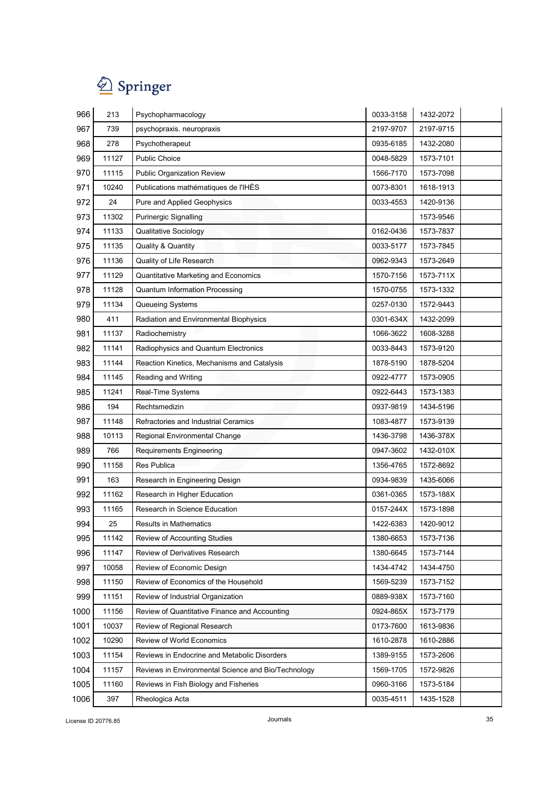

| 966  | 213   | Psychopharmacology                                  | 0033-3158 | 1432-2072 |
|------|-------|-----------------------------------------------------|-----------|-----------|
| 967  | 739   | psychopraxis. neuropraxis                           | 2197-9707 | 2197-9715 |
| 968  | 278   | Psychotherapeut                                     | 0935-6185 | 1432-2080 |
| 969  | 11127 | <b>Public Choice</b>                                | 0048-5829 | 1573-7101 |
| 970  | 11115 | Public Organization Review                          | 1566-7170 | 1573-7098 |
| 971  | 10240 | Publications mathématiques de l'IHÉS                | 0073-8301 | 1618-1913 |
| 972  | 24    | Pure and Applied Geophysics                         | 0033-4553 | 1420-9136 |
| 973  | 11302 | Purinergic Signalling                               |           | 1573-9546 |
| 974  | 11133 | <b>Qualitative Sociology</b>                        | 0162-0436 | 1573-7837 |
| 975  | 11135 | Quality & Quantity                                  | 0033-5177 | 1573-7845 |
| 976  | 11136 | Quality of Life Research                            | 0962-9343 | 1573-2649 |
| 977  | 11129 | Quantitative Marketing and Economics                | 1570-7156 | 1573-711X |
| 978  | 11128 | <b>Quantum Information Processing</b>               | 1570-0755 | 1573-1332 |
| 979  | 11134 | Queueing Systems                                    | 0257-0130 | 1572-9443 |
| 980  | 411   | Radiation and Environmental Biophysics              | 0301-634X | 1432-2099 |
| 981  | 11137 | Radiochemistry                                      | 1066-3622 | 1608-3288 |
| 982  | 11141 | Radiophysics and Quantum Electronics                | 0033-8443 | 1573-9120 |
| 983  | 11144 | Reaction Kinetics, Mechanisms and Catalysis         | 1878-5190 | 1878-5204 |
| 984  | 11145 | Reading and Writing                                 | 0922-4777 | 1573-0905 |
| 985  | 11241 | Real-Time Systems                                   | 0922-6443 | 1573-1383 |
| 986  | 194   | Rechtsmedizin                                       | 0937-9819 | 1434-5196 |
| 987  | 11148 | Refractories and Industrial Ceramics                | 1083-4877 | 1573-9139 |
| 988  | 10113 | Regional Environmental Change                       | 1436-3798 | 1436-378X |
| 989  | 766   | Requirements Engineering                            | 0947-3602 | 1432-010X |
| 990  | 11158 | <b>Res Publica</b>                                  | 1356-4765 | 1572-8692 |
| 991  | 163   | Research in Engineering Design                      | 0934-9839 | 1435-6066 |
| 992  | 11162 | Research in Higher Education                        | 0361-0365 | 1573-188X |
| 993  | 11165 | Research in Science Education                       | 0157-244X | 1573-1898 |
| 994  | 25    | Results in Mathematics                              | 1422-6383 | 1420-9012 |
| 995  | 11142 | Review of Accounting Studies                        | 1380-6653 | 1573-7136 |
| 996  | 11147 | Review of Derivatives Research                      | 1380-6645 | 1573-7144 |
| 997  | 10058 | Review of Economic Design                           | 1434-4742 | 1434-4750 |
| 998  | 11150 | Review of Economics of the Household                | 1569-5239 | 1573-7152 |
| 999  | 11151 | Review of Industrial Organization                   | 0889-938X | 1573-7160 |
| 1000 | 11156 | Review of Quantitative Finance and Accounting       | 0924-865X | 1573-7179 |
| 1001 | 10037 | Review of Regional Research                         | 0173-7600 | 1613-9836 |
| 1002 | 10290 | Review of World Economics                           | 1610-2878 | 1610-2886 |
| 1003 | 11154 | Reviews in Endocrine and Metabolic Disorders        | 1389-9155 | 1573-2606 |
| 1004 | 11157 | Reviews in Environmental Science and Bio/Technology | 1569-1705 | 1572-9826 |
| 1005 | 11160 | Reviews in Fish Biology and Fisheries               | 0960-3166 | 1573-5184 |
| 1006 | 397   | Rheologica Acta                                     | 0035-4511 | 1435-1528 |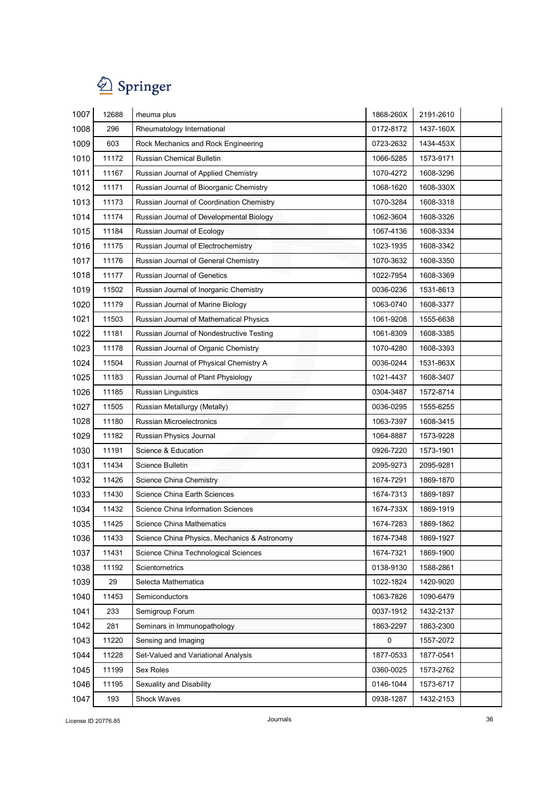

| 1007 | 12688 | rheuma plus                                  | 1868-260X | 2191-2610 |
|------|-------|----------------------------------------------|-----------|-----------|
| 1008 | 296   | Rheumatology International                   | 0172-8172 | 1437-160X |
| 1009 | 603   | Rock Mechanics and Rock Engineering          | 0723-2632 | 1434-453X |
| 1010 | 11172 | Russian Chemical Bulletin                    | 1066-5285 | 1573-9171 |
| 1011 | 11167 | Russian Journal of Applied Chemistry         | 1070-4272 | 1608-3296 |
| 1012 | 11171 | Russian Journal of Bioorganic Chemistry      | 1068-1620 | 1608-330X |
| 1013 | 11173 | Russian Journal of Coordination Chemistry    | 1070-3284 | 1608-3318 |
| 1014 | 11174 | Russian Journal of Developmental Biology     | 1062-3604 | 1608-3326 |
| 1015 | 11184 | Russian Journal of Ecology                   | 1067-4136 | 1608-3334 |
| 1016 | 11175 | Russian Journal of Electrochemistry          | 1023-1935 | 1608-3342 |
| 1017 | 11176 | Russian Journal of General Chemistry         | 1070-3632 | 1608-3350 |
| 1018 | 11177 | Russian Journal of Genetics                  | 1022-7954 | 1608-3369 |
| 1019 | 11502 | Russian Journal of Inorganic Chemistry       | 0036-0236 | 1531-8613 |
| 1020 | 11179 | Russian Journal of Marine Biology            | 1063-0740 | 1608-3377 |
| 1021 | 11503 | Russian Journal of Mathematical Physics      | 1061-9208 | 1555-6638 |
| 1022 | 11181 | Russian Journal of Nondestructive Testing    | 1061-8309 | 1608-3385 |
| 1023 | 11178 | Russian Journal of Organic Chemistry         | 1070-4280 | 1608-3393 |
| 1024 | 11504 | Russian Journal of Physical Chemistry A      | 0036-0244 | 1531-863X |
| 1025 | 11183 | Russian Journal of Plant Physiology          | 1021-4437 | 1608-3407 |
| 1026 | 11185 | <b>Russian Linguistics</b>                   | 0304-3487 | 1572-8714 |
| 1027 | 11505 | Russian Metallurgy (Metally)                 | 0036-0295 | 1555-6255 |
| 1028 | 11180 | Russian Microelectronics                     | 1063-7397 | 1608-3415 |
| 1029 | 11182 | Russian Physics Journal                      | 1064-8887 | 1573-9228 |
| 1030 | 11191 | Science & Education                          | 0926-7220 | 1573-1901 |
| 1031 | 11434 | Science Bulletin                             | 2095-9273 | 2095-9281 |
| 1032 | 11426 | Science China Chemistry                      | 1674-7291 | 1869-1870 |
| 1033 | 11430 | Science China Earth Sciences                 | 1674-7313 | 1869-1897 |
| 1034 | 11432 | Science China Information Sciences           | 1674-733X | 1869-1919 |
| 1035 | 11425 | Science China Mathematics                    | 1674-7283 | 1869-1862 |
| 1036 | 11433 | Science China Physics, Mechanics & Astronomy | 1674-7348 | 1869-1927 |
| 1037 | 11431 | Science China Technological Sciences         | 1674-7321 | 1869-1900 |
| 1038 | 11192 | Scientometrics                               | 0138-9130 | 1588-2861 |
| 1039 | 29    | Selecta Mathematica                          | 1022-1824 | 1420-9020 |
| 1040 | 11453 | Semiconductors                               | 1063-7826 | 1090-6479 |
| 1041 | 233   | Semigroup Forum                              | 0037-1912 | 1432-2137 |
| 1042 | 281   | Seminars in Immunopathology                  | 1863-2297 | 1863-2300 |
| 1043 | 11220 | Sensing and Imaging                          | $\pmb{0}$ | 1557-2072 |
| 1044 | 11228 | Set-Valued and Variational Analysis          | 1877-0533 | 1877-0541 |
| 1045 | 11199 | Sex Roles                                    | 0360-0025 | 1573-2762 |
| 1046 | 11195 | Sexuality and Disability                     | 0146-1044 | 1573-6717 |
| 1047 | 193   | <b>Shock Waves</b>                           | 0938-1287 | 1432-2153 |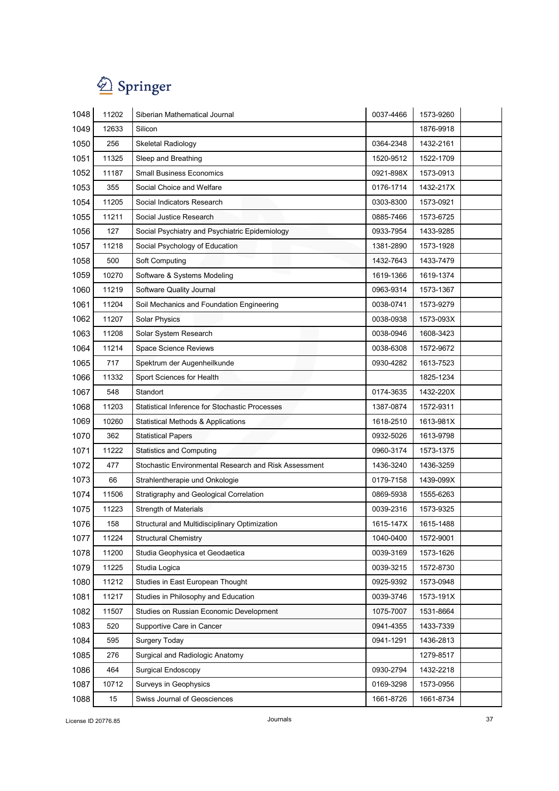

| 1048 | 11202 | Siberian Mathematical Journal                         | 0037-4466 | 1573-9260 |
|------|-------|-------------------------------------------------------|-----------|-----------|
| 1049 | 12633 | Silicon                                               |           | 1876-9918 |
| 1050 | 256   | Skeletal Radiology                                    | 0364-2348 | 1432-2161 |
| 1051 | 11325 | Sleep and Breathing                                   | 1520-9512 | 1522-1709 |
| 1052 | 11187 | <b>Small Business Economics</b>                       | 0921-898X | 1573-0913 |
| 1053 | 355   | Social Choice and Welfare                             | 0176-1714 | 1432-217X |
| 1054 | 11205 | Social Indicators Research                            | 0303-8300 | 1573-0921 |
| 1055 | 11211 | Social Justice Research                               | 0885-7466 | 1573-6725 |
| 1056 | 127   | Social Psychiatry and Psychiatric Epidemiology        | 0933-7954 | 1433-9285 |
| 1057 | 11218 | Social Psychology of Education                        | 1381-2890 | 1573-1928 |
| 1058 | 500   | Soft Computing                                        | 1432-7643 | 1433-7479 |
| 1059 | 10270 | Software & Systems Modeling                           | 1619-1366 | 1619-1374 |
| 1060 | 11219 | Software Quality Journal                              | 0963-9314 | 1573-1367 |
| 1061 | 11204 | Soil Mechanics and Foundation Engineering             | 0038-0741 | 1573-9279 |
| 1062 | 11207 | <b>Solar Physics</b>                                  | 0038-0938 | 1573-093X |
| 1063 | 11208 | Solar System Research                                 | 0038-0946 | 1608-3423 |
| 1064 | 11214 | <b>Space Science Reviews</b>                          | 0038-6308 | 1572-9672 |
| 1065 | 717   | Spektrum der Augenheilkunde                           | 0930-4282 | 1613-7523 |
| 1066 | 11332 | Sport Sciences for Health                             |           | 1825-1234 |
| 1067 | 548   | Standort                                              | 0174-3635 | 1432-220X |
| 1068 | 11203 | Statistical Inference for Stochastic Processes        | 1387-0874 | 1572-9311 |
| 1069 | 10260 | <b>Statistical Methods &amp; Applications</b>         | 1618-2510 | 1613-981X |
| 1070 | 362   | <b>Statistical Papers</b>                             | 0932-5026 | 1613-9798 |
| 1071 | 11222 | <b>Statistics and Computing</b>                       | 0960-3174 | 1573-1375 |
| 1072 | 477   | Stochastic Environmental Research and Risk Assessment | 1436-3240 | 1436-3259 |
| 1073 | 66    | Strahlentherapie und Onkologie                        | 0179-7158 | 1439-099X |
| 1074 | 11506 | Stratigraphy and Geological Correlation               | 0869-5938 | 1555-6263 |
| 1075 | 11223 | <b>Strength of Materials</b>                          | 0039-2316 | 1573-9325 |
| 1076 | 158   | Structural and Multidisciplinary Optimization         | 1615-147X | 1615-1488 |
| 1077 | 11224 | <b>Structural Chemistry</b>                           | 1040-0400 | 1572-9001 |
| 1078 | 11200 | Studia Geophysica et Geodaetica                       | 0039-3169 | 1573-1626 |
| 1079 | 11225 | Studia Logica                                         | 0039-3215 | 1572-8730 |
| 1080 | 11212 | Studies in East European Thought                      | 0925-9392 | 1573-0948 |
| 1081 | 11217 | Studies in Philosophy and Education                   | 0039-3746 | 1573-191X |
| 1082 | 11507 | Studies on Russian Economic Development               | 1075-7007 | 1531-8664 |
| 1083 | 520   | Supportive Care in Cancer                             | 0941-4355 | 1433-7339 |
| 1084 | 595   | <b>Surgery Today</b>                                  | 0941-1291 | 1436-2813 |
| 1085 | 276   | Surgical and Radiologic Anatomy                       |           | 1279-8517 |
| 1086 | 464   | Surgical Endoscopy                                    | 0930-2794 | 1432-2218 |
| 1087 | 10712 | Surveys in Geophysics                                 | 0169-3298 | 1573-0956 |
| 1088 | 15    | Swiss Journal of Geosciences                          | 1661-8726 | 1661-8734 |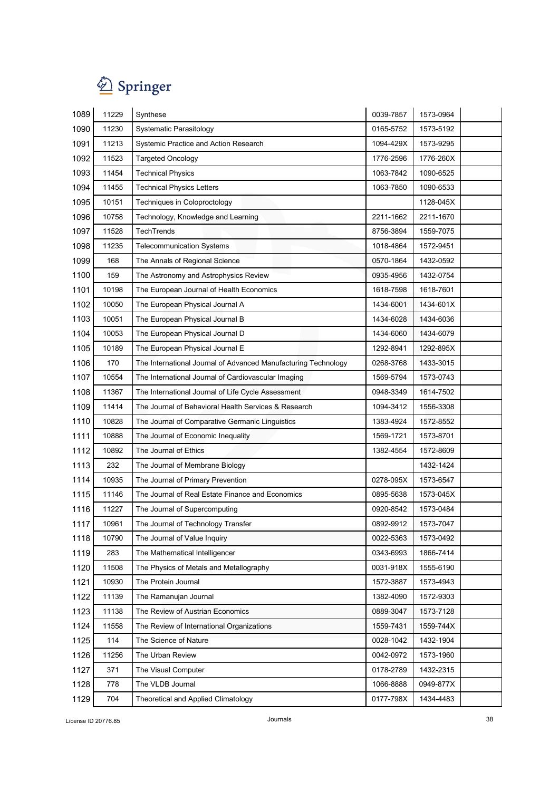

| 1089 | 11229 | Synthese                                                       | 0039-7857 | 1573-0964 |
|------|-------|----------------------------------------------------------------|-----------|-----------|
| 1090 | 11230 | Systematic Parasitology                                        | 0165-5752 | 1573-5192 |
| 1091 | 11213 | Systemic Practice and Action Research                          | 1094-429X | 1573-9295 |
| 1092 | 11523 | <b>Targeted Oncology</b>                                       | 1776-2596 | 1776-260X |
| 1093 | 11454 | <b>Technical Physics</b>                                       | 1063-7842 | 1090-6525 |
| 1094 | 11455 | <b>Technical Physics Letters</b>                               | 1063-7850 | 1090-6533 |
| 1095 | 10151 | Techniques in Coloproctology                                   |           | 1128-045X |
| 1096 | 10758 | Technology, Knowledge and Learning                             | 2211-1662 | 2211-1670 |
| 1097 | 11528 | TechTrends                                                     | 8756-3894 | 1559-7075 |
| 1098 | 11235 | <b>Telecommunication Systems</b>                               | 1018-4864 | 1572-9451 |
| 1099 | 168   | The Annals of Regional Science                                 | 0570-1864 | 1432-0592 |
| 1100 | 159   | The Astronomy and Astrophysics Review                          | 0935-4956 | 1432-0754 |
| 1101 | 10198 | The European Journal of Health Economics                       | 1618-7598 | 1618-7601 |
| 1102 | 10050 | The European Physical Journal A                                | 1434-6001 | 1434-601X |
| 1103 | 10051 | The European Physical Journal B                                | 1434-6028 | 1434-6036 |
| 1104 | 10053 | The European Physical Journal D                                | 1434-6060 | 1434-6079 |
| 1105 | 10189 | The European Physical Journal E                                | 1292-8941 | 1292-895X |
| 1106 | 170   | The International Journal of Advanced Manufacturing Technology | 0268-3768 | 1433-3015 |
| 1107 | 10554 | The International Journal of Cardiovascular Imaging            | 1569-5794 | 1573-0743 |
| 1108 | 11367 | The International Journal of Life Cycle Assessment             | 0948-3349 | 1614-7502 |
| 1109 | 11414 | The Journal of Behavioral Health Services & Research           | 1094-3412 | 1556-3308 |
| 1110 | 10828 | The Journal of Comparative Germanic Linguistics                | 1383-4924 | 1572-8552 |
| 1111 | 10888 | The Journal of Economic Inequality                             | 1569-1721 | 1573-8701 |
| 1112 | 10892 | The Journal of Ethics                                          | 1382-4554 | 1572-8609 |
| 1113 | 232   | The Journal of Membrane Biology                                |           | 1432-1424 |
| 1114 | 10935 | The Journal of Primary Prevention                              | 0278-095X | 1573-6547 |
| 1115 | 11146 | The Journal of Real Estate Finance and Economics               | 0895-5638 | 1573-045X |
| 1116 | 11227 | The Journal of Supercomputing                                  | 0920-8542 | 1573-0484 |
| 1117 | 10961 | The Journal of Technology Transfer                             | 0892-9912 | 1573-7047 |
| 1118 | 10790 | The Journal of Value Inquiry                                   | 0022-5363 | 1573-0492 |
| 1119 | 283   | The Mathematical Intelligencer                                 | 0343-6993 | 1866-7414 |
| 1120 | 11508 | The Physics of Metals and Metallography                        | 0031-918X | 1555-6190 |
| 1121 | 10930 | The Protein Journal                                            | 1572-3887 | 1573-4943 |
| 1122 | 11139 | The Ramanujan Journal                                          | 1382-4090 | 1572-9303 |
| 1123 | 11138 | The Review of Austrian Economics                               | 0889-3047 | 1573-7128 |
| 1124 | 11558 | The Review of International Organizations                      | 1559-7431 | 1559-744X |
| 1125 | 114   | The Science of Nature                                          | 0028-1042 | 1432-1904 |
| 1126 | 11256 | The Urban Review                                               | 0042-0972 | 1573-1960 |
| 1127 | 371   | The Visual Computer                                            | 0178-2789 | 1432-2315 |
| 1128 | 778   | The VLDB Journal                                               | 1066-8888 | 0949-877X |
| 1129 | 704   | Theoretical and Applied Climatology                            | 0177-798X | 1434-4483 |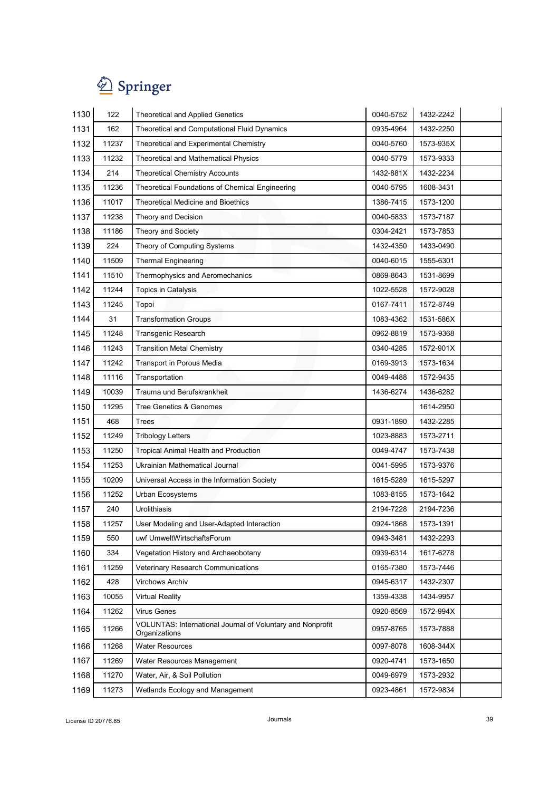| 1130 | 122   | <b>Theoretical and Applied Genetics</b>                                            | 0040-5752 | 1432-2242 |
|------|-------|------------------------------------------------------------------------------------|-----------|-----------|
| 1131 | 162   | Theoretical and Computational Fluid Dynamics                                       | 0935-4964 | 1432-2250 |
| 1132 | 11237 | Theoretical and Experimental Chemistry                                             | 0040-5760 | 1573-935X |
| 1133 | 11232 | <b>Theoretical and Mathematical Physics</b>                                        | 0040-5779 | 1573-9333 |
| 1134 | 214   | <b>Theoretical Chemistry Accounts</b>                                              | 1432-881X | 1432-2234 |
| 1135 | 11236 | Theoretical Foundations of Chemical Engineering                                    | 0040-5795 | 1608-3431 |
| 1136 | 11017 | <b>Theoretical Medicine and Bioethics</b>                                          | 1386-7415 | 1573-1200 |
| 1137 | 11238 | Theory and Decision                                                                | 0040-5833 | 1573-7187 |
| 1138 | 11186 | Theory and Society                                                                 | 0304-2421 | 1573-7853 |
| 1139 | 224   | Theory of Computing Systems                                                        | 1432-4350 | 1433-0490 |
| 1140 | 11509 | <b>Thermal Engineering</b>                                                         | 0040-6015 | 1555-6301 |
| 1141 | 11510 | Thermophysics and Aeromechanics                                                    | 0869-8643 | 1531-8699 |
| 1142 | 11244 | Topics in Catalysis                                                                | 1022-5528 | 1572-9028 |
| 1143 | 11245 | Topoi                                                                              | 0167-7411 | 1572-8749 |
| 1144 | 31    | <b>Transformation Groups</b>                                                       | 1083-4362 | 1531-586X |
| 1145 | 11248 | <b>Transgenic Research</b>                                                         | 0962-8819 | 1573-9368 |
| 1146 | 11243 | <b>Transition Metal Chemistry</b>                                                  | 0340-4285 | 1572-901X |
| 1147 | 11242 | Transport in Porous Media                                                          | 0169-3913 | 1573-1634 |
| 1148 | 11116 | Transportation                                                                     | 0049-4488 | 1572-9435 |
| 1149 | 10039 | Trauma und Berufskrankheit                                                         | 1436-6274 | 1436-6282 |
| 1150 | 11295 | Tree Genetics & Genomes                                                            |           | 1614-2950 |
| 1151 | 468   | <b>Trees</b>                                                                       | 0931-1890 | 1432-2285 |
| 1152 | 11249 | <b>Tribology Letters</b>                                                           | 1023-8883 | 1573-2711 |
| 1153 | 11250 | <b>Tropical Animal Health and Production</b>                                       | 0049-4747 | 1573-7438 |
| 1154 | 11253 | Ukrainian Mathematical Journal                                                     | 0041-5995 | 1573-9376 |
| 1155 | 10209 | Universal Access in the Information Society                                        | 1615-5289 | 1615-5297 |
| 1156 | 11252 | <b>Urban Ecosystems</b>                                                            | 1083-8155 | 1573-1642 |
| 1157 | 240   | Urolithiasis                                                                       | 2194-7228 | 2194-7236 |
| 1158 | 11257 | User Modeling and User-Adapted Interaction                                         | 0924-1868 | 1573-1391 |
| 1159 | 550   | uwf UmweltWirtschaftsForum                                                         | 0943-3481 | 1432-2293 |
| 1160 | 334   | Vegetation History and Archaeobotany                                               | 0939-6314 | 1617-6278 |
| 1161 | 11259 | Veterinary Research Communications                                                 | 0165-7380 | 1573-7446 |
| 1162 | 428   | Virchows Archiv                                                                    | 0945-6317 | 1432-2307 |
| 1163 | 10055 | <b>Virtual Reality</b>                                                             | 1359-4338 | 1434-9957 |
| 1164 | 11262 | <b>Virus Genes</b>                                                                 | 0920-8569 | 1572-994X |
| 1165 | 11266 | <b>VOLUNTAS: International Journal of Voluntary and Nonprofit</b><br>Organizations | 0957-8765 | 1573-7888 |
| 1166 | 11268 | <b>Water Resources</b>                                                             | 0097-8078 | 1608-344X |
| 1167 | 11269 | Water Resources Management                                                         | 0920-4741 | 1573-1650 |
| 1168 | 11270 | Water, Air, & Soil Pollution                                                       | 0049-6979 | 1573-2932 |
| 1169 | 11273 | Wetlands Ecology and Management                                                    | 0923-4861 | 1572-9834 |